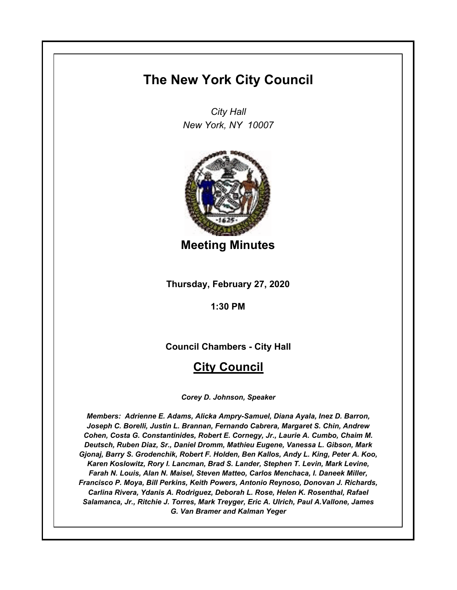# **The New York City Council**

*City Hall New York, NY 10007*



**Meeting Minutes**

**Thursday, February 27, 2020**

**1:30 PM**

**Council Chambers - City Hall**

## **City Council**

*Corey D. Johnson, Speaker*

*Members: Adrienne E. Adams, Alicka Ampry-Samuel, Diana Ayala, Inez D. Barron, Joseph C. Borelli, Justin L. Brannan, Fernando Cabrera, Margaret S. Chin, Andrew Cohen, Costa G. Constantinides, Robert E. Cornegy, Jr., Laurie A. Cumbo, Chaim M. Deutsch, Ruben Diaz, Sr., Daniel Dromm, Mathieu Eugene, Vanessa L. Gibson, Mark Gjonaj, Barry S. Grodenchik, Robert F. Holden, Ben Kallos, Andy L. King, Peter A. Koo, Karen Koslowitz, Rory I. Lancman, Brad S. Lander, Stephen T. Levin, Mark Levine, Farah N. Louis, Alan N. Maisel, Steven Matteo, Carlos Menchaca, I. Daneek Miller, Francisco P. Moya, Bill Perkins, Keith Powers, Antonio Reynoso, Donovan J. Richards, Carlina Rivera, Ydanis A. Rodriguez, Deborah L. Rose, Helen K. Rosenthal, Rafael Salamanca, Jr., Ritchie J. Torres, Mark Treyger, Eric A. Ulrich, Paul A.Vallone, James G. Van Bramer and Kalman Yeger*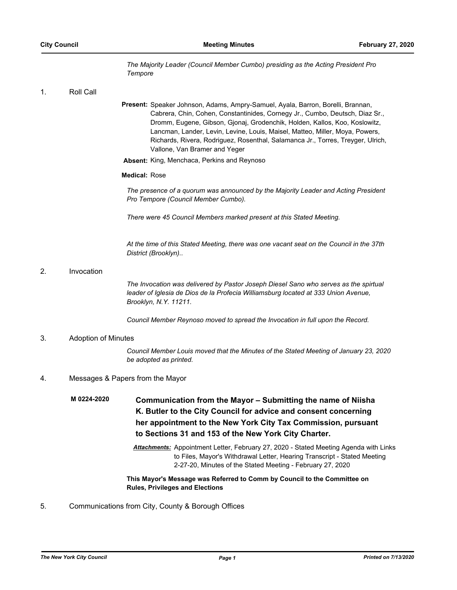*The Majority Leader (Council Member Cumbo) presiding as the Acting President Pro Tempore*

1. Roll Call

Present: Speaker Johnson, Adams, Ampry-Samuel, Ayala, Barron, Borelli, Brannan, Cabrera, Chin, Cohen, Constantinides, Cornegy Jr., Cumbo, Deutsch, Diaz Sr., Dromm, Eugene, Gibson, Gjonaj, Grodenchik, Holden, Kallos, Koo, Koslowitz, Lancman, Lander, Levin, Levine, Louis, Maisel, Matteo, Miller, Moya, Powers, Richards, Rivera, Rodriguez, Rosenthal, Salamanca Jr., Torres, Treyger, Ulrich, Vallone, Van Bramer and Yeger

**Absent:** King, Menchaca, Perkins and Reynoso

#### **Medical:** Rose

*The presence of a quorum was announced by the Majority Leader and Acting President Pro Tempore (Council Member Cumbo).*

*There were 45 Council Members marked present at this Stated Meeting.*

*At the time of this Stated Meeting, there was one vacant seat on the Council in the 37th District (Brooklyn)..*

## 2. Invocation

*The Invocation was delivered by Pastor Joseph Diesel Sano who serves as the spirtual leader of Iglesia de Dios de la Profecia Williamsburg located at 333 Union Avenue, Brooklyn, N.Y. 11211.*

*Council Member Reynoso moved to spread the Invocation in full upon the Record.*

#### 3. Adoption of Minutes

*Council Member Louis moved that the Minutes of the Stated Meeting of January 23, 2020 be adopted as printed.*

#### 4. Messages & Papers from the Mayor

**Communication from the Mayor – Submitting the name of Niisha K. Butler to the City Council for advice and consent concerning her appointment to the New York City Tax Commission, pursuant to Sections 31 and 153 of the New York City Charter. M 0224-2020**

> *Attachments:* Appointment Letter, February 27, 2020 - Stated Meeting Agenda with Links to Files, Mayor's Withdrawal Letter, Hearing Transcript - Stated Meeting 2-27-20, Minutes of the Stated Meeting - February 27, 2020

## **This Mayor's Message was Referred to Comm by Council to the Committee on Rules, Privileges and Elections**

5. Communications from City, County & Borough Offices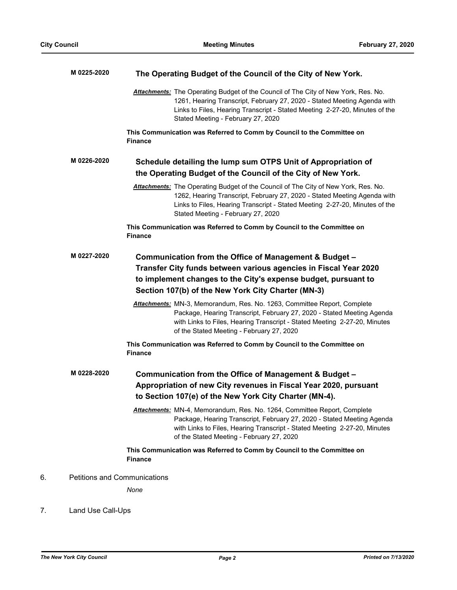|    | M 0225-2020                         | The Operating Budget of the Council of the City of New York.                                                                                                                                                                                                                        |
|----|-------------------------------------|-------------------------------------------------------------------------------------------------------------------------------------------------------------------------------------------------------------------------------------------------------------------------------------|
|    |                                     | Attachments: The Operating Budget of the Council of The City of New York, Res. No.<br>1261, Hearing Transcript, February 27, 2020 - Stated Meeting Agenda with<br>Links to Files, Hearing Transcript - Stated Meeting 2-27-20, Minutes of the<br>Stated Meeting - February 27, 2020 |
|    |                                     | This Communication was Referred to Comm by Council to the Committee on<br><b>Finance</b>                                                                                                                                                                                            |
|    | M 0226-2020                         | Schedule detailing the lump sum OTPS Unit of Appropriation of<br>the Operating Budget of the Council of the City of New York.                                                                                                                                                       |
|    |                                     | Attachments: The Operating Budget of the Council of The City of New York, Res. No.<br>1262, Hearing Transcript, February 27, 2020 - Stated Meeting Agenda with<br>Links to Files, Hearing Transcript - Stated Meeting 2-27-20, Minutes of the<br>Stated Meeting - February 27, 2020 |
|    |                                     | This Communication was Referred to Comm by Council to the Committee on<br><b>Finance</b>                                                                                                                                                                                            |
|    | M 0227-2020                         | Communication from the Office of Management & Budget -<br>Transfer City funds between various agencies in Fiscal Year 2020<br>to implement changes to the City's expense budget, pursuant to<br>Section 107(b) of the New York City Charter (MN-3)                                  |
|    |                                     | Attachments: MN-3, Memorandum, Res. No. 1263, Committee Report, Complete<br>Package, Hearing Transcript, February 27, 2020 - Stated Meeting Agenda<br>with Links to Files, Hearing Transcript - Stated Meeting 2-27-20, Minutes<br>of the Stated Meeting - February 27, 2020        |
|    |                                     | This Communication was Referred to Comm by Council to the Committee on<br><b>Finance</b>                                                                                                                                                                                            |
|    | M 0228-2020                         | Communication from the Office of Management & Budget -<br>Appropriation of new City revenues in Fiscal Year 2020, pursuant<br>to Section 107(e) of the New York City Charter (MN-4).                                                                                                |
|    |                                     | Attachments: MN-4, Memorandum, Res. No. 1264, Committee Report, Complete<br>Package, Hearing Transcript, February 27, 2020 - Stated Meeting Agenda<br>with Links to Files, Hearing Transcript - Stated Meeting 2-27-20, Minutes<br>of the Stated Meeting - February 27, 2020        |
|    |                                     | This Communication was Referred to Comm by Council to the Committee on<br><b>Finance</b>                                                                                                                                                                                            |
| 6. | <b>Petitions and Communications</b> |                                                                                                                                                                                                                                                                                     |
|    |                                     | None                                                                                                                                                                                                                                                                                |

7. Land Use Call-Ups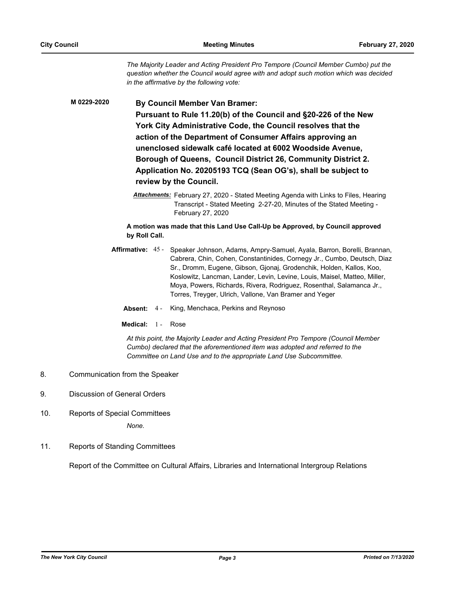*The Majority Leader and Acting President Pro Tempore (Council Member Cumbo) put the question whether the Council would agree with and adopt such motion which was decided in the affirmative by the following vote:*

#### **By Council Member Van Bramer: M 0229-2020**

**Pursuant to Rule 11.20(b) of the Council and §20-226 of the New York City Administrative Code, the Council resolves that the action of the Department of Consumer Affairs approving an unenclosed sidewalk café located at 6002 Woodside Avenue, Borough of Queens, Council District 26, Community District 2. Application No. 20205193 TCQ (Sean OG's), shall be subject to review by the Council.**

*Attachments:* February 27, 2020 - Stated Meeting Agenda with Links to Files, Hearing Transcript - Stated Meeting 2-27-20, Minutes of the Stated Meeting - February 27, 2020

## **A motion was made that this Land Use Call-Up be Approved, by Council approved by Roll Call.**

- **Affirmative:** Speaker Johnson, Adams, Ampry-Samuel, Ayala, Barron, Borelli, Brannan, Cabrera, Chin, Cohen, Constantinides, Cornegy Jr., Cumbo, Deutsch, Diaz Sr., Dromm, Eugene, Gibson, Gjonaj, Grodenchik, Holden, Kallos, Koo, Koslowitz, Lancman, Lander, Levin, Levine, Louis, Maisel, Matteo, Miller, Moya, Powers, Richards, Rivera, Rodriguez, Rosenthal, Salamanca Jr., Torres, Treyger, Ulrich, Vallone, Van Bramer and Yeger Affirmative: 45 -
	- **Absent:** 4 King, Menchaca, Perkins and Reynoso
	- **Medical:** 1 Rose

*At this point, the Majority Leader and Acting President Pro Tempore (Council Member Cumbo) declared that the aforementioned item was adopted and referred to the Committee on Land Use and to the appropriate Land Use Subcommittee.*

- 8. Communication from the Speaker
- 9. Discussion of General Orders
- 10. Reports of Special Committees

*None.*

11. Reports of Standing Committees

Report of the Committee on Cultural Affairs, Libraries and International Intergroup Relations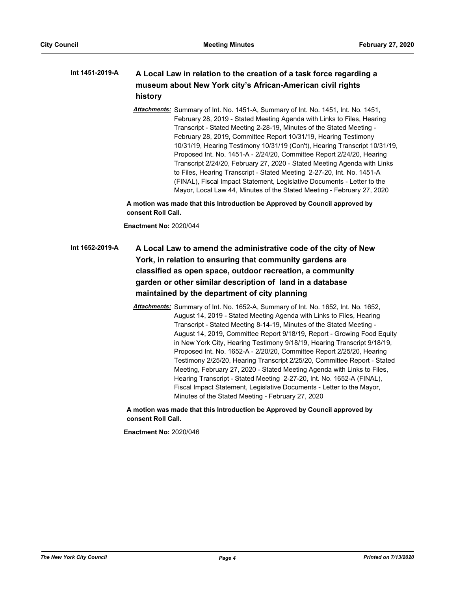#### **A Local Law in relation to the creation of a task force regarding a museum about New York city's African-American civil rights history Int 1451-2019-A**

*Attachments:* Summary of Int. No. 1451-A, Summary of Int. No. 1451, Int. No. 1451, February 28, 2019 - Stated Meeting Agenda with Links to Files, Hearing Transcript - Stated Meeting 2-28-19, Minutes of the Stated Meeting - February 28, 2019, Committee Report 10/31/19, Hearing Testimony 10/31/19, Hearing Testimony 10/31/19 (Con't), Hearing Transcript 10/31/19, Proposed Int. No. 1451-A - 2/24/20, Committee Report 2/24/20, Hearing Transcript 2/24/20, February 27, 2020 - Stated Meeting Agenda with Links to Files, Hearing Transcript - Stated Meeting 2-27-20, Int. No. 1451-A (FINAL), Fiscal Impact Statement, Legislative Documents - Letter to the Mayor, Local Law 44, Minutes of the Stated Meeting - February 27, 2020

**A motion was made that this Introduction be Approved by Council approved by consent Roll Call.**

**Enactment No:** 2020/044

## **A Local Law to amend the administrative code of the city of New York, in relation to ensuring that community gardens are classified as open space, outdoor recreation, a community garden or other similar description of land in a database maintained by the department of city planning Int 1652-2019-A**

*Attachments:* Summary of Int. No. 1652-A, Summary of Int. No. 1652, Int. No. 1652, August 14, 2019 - Stated Meeting Agenda with Links to Files, Hearing Transcript - Stated Meeting 8-14-19, Minutes of the Stated Meeting - August 14, 2019, Committee Report 9/18/19, Report - Growing Food Equity in New York City, Hearing Testimony 9/18/19, Hearing Transcript 9/18/19, Proposed Int. No. 1652-A - 2/20/20, Committee Report 2/25/20, Hearing Testimony 2/25/20, Hearing Transcript 2/25/20, Committee Report - Stated Meeting, February 27, 2020 - Stated Meeting Agenda with Links to Files, Hearing Transcript - Stated Meeting 2-27-20, Int. No. 1652-A (FINAL), Fiscal Impact Statement, Legislative Documents - Letter to the Mayor, Minutes of the Stated Meeting - February 27, 2020

**A motion was made that this Introduction be Approved by Council approved by consent Roll Call.**

**Enactment No:** 2020/046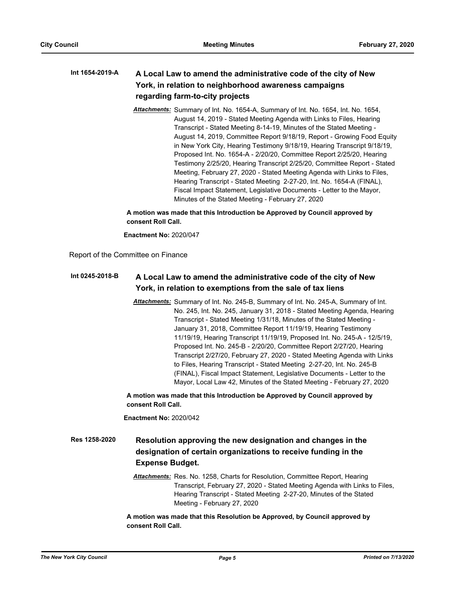### **A Local Law to amend the administrative code of the city of New York, in relation to neighborhood awareness campaigns regarding farm-to-city projects Int 1654-2019-A**

*Attachments:* Summary of Int. No. 1654-A, Summary of Int. No. 1654, Int. No. 1654, August 14, 2019 - Stated Meeting Agenda with Links to Files, Hearing Transcript - Stated Meeting 8-14-19, Minutes of the Stated Meeting - August 14, 2019, Committee Report 9/18/19, Report - Growing Food Equity in New York City, Hearing Testimony 9/18/19, Hearing Transcript 9/18/19, Proposed Int. No. 1654-A - 2/20/20, Committee Report 2/25/20, Hearing Testimony 2/25/20, Hearing Transcript 2/25/20, Committee Report - Stated Meeting, February 27, 2020 - Stated Meeting Agenda with Links to Files, Hearing Transcript - Stated Meeting 2-27-20, Int. No. 1654-A (FINAL), Fiscal Impact Statement, Legislative Documents - Letter to the Mayor, Minutes of the Stated Meeting - February 27, 2020

**A motion was made that this Introduction be Approved by Council approved by consent Roll Call.**

**Enactment No:** 2020/047

Report of the Committee on Finance

#### **A Local Law to amend the administrative code of the city of New York, in relation to exemptions from the sale of tax liens Int 0245-2018-B**

*Attachments:* Summary of Int. No. 245-B, Summary of Int. No. 245-A, Summary of Int. No. 245, Int. No. 245, January 31, 2018 - Stated Meeting Agenda, Hearing Transcript - Stated Meeting 1/31/18, Minutes of the Stated Meeting - January 31, 2018, Committee Report 11/19/19, Hearing Testimony 11/19/19, Hearing Transcript 11/19/19, Proposed Int. No. 245-A - 12/5/19, Proposed Int. No. 245-B - 2/20/20, Committee Report 2/27/20, Hearing Transcript 2/27/20, February 27, 2020 - Stated Meeting Agenda with Links to Files, Hearing Transcript - Stated Meeting 2-27-20, Int. No. 245-B (FINAL), Fiscal Impact Statement, Legislative Documents - Letter to the Mayor, Local Law 42, Minutes of the Stated Meeting - February 27, 2020

**A motion was made that this Introduction be Approved by Council approved by consent Roll Call.**

**Enactment No:** 2020/042

## **Resolution approving the new designation and changes in the designation of certain organizations to receive funding in the Expense Budget. Res 1258-2020**

## *Attachments:* Res. No. 1258, Charts for Resolution, Committee Report, Hearing Transcript, February 27, 2020 - Stated Meeting Agenda with Links to Files, Hearing Transcript - Stated Meeting 2-27-20, Minutes of the Stated Meeting - February 27, 2020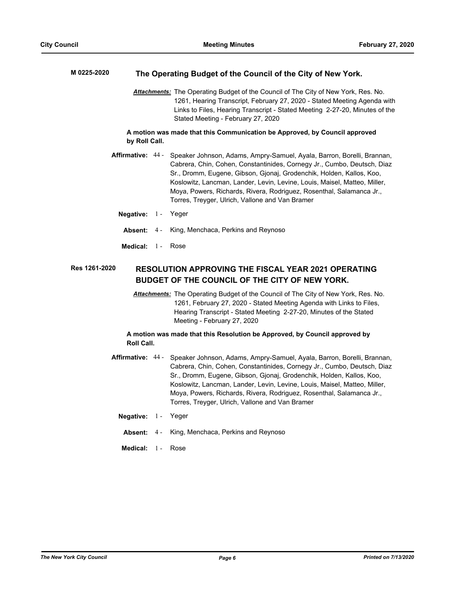| M 0225-2020<br>The Operating Budget of the Council of the City of New York.                                                                                                                                                                                     |                                                                                                                                                                                                                                                                                     |                                                                                                                                                                                                                                                                                                                                                                                                                                   |  |  |
|-----------------------------------------------------------------------------------------------------------------------------------------------------------------------------------------------------------------------------------------------------------------|-------------------------------------------------------------------------------------------------------------------------------------------------------------------------------------------------------------------------------------------------------------------------------------|-----------------------------------------------------------------------------------------------------------------------------------------------------------------------------------------------------------------------------------------------------------------------------------------------------------------------------------------------------------------------------------------------------------------------------------|--|--|
|                                                                                                                                                                                                                                                                 | Attachments: The Operating Budget of the Council of The City of New York, Res. No.<br>1261, Hearing Transcript, February 27, 2020 - Stated Meeting Agenda with<br>Links to Files, Hearing Transcript - Stated Meeting 2-27-20, Minutes of the<br>Stated Meeting - February 27, 2020 |                                                                                                                                                                                                                                                                                                                                                                                                                                   |  |  |
| A motion was made that this Communication be Approved, by Council approved<br>by Roll Call.                                                                                                                                                                     |                                                                                                                                                                                                                                                                                     |                                                                                                                                                                                                                                                                                                                                                                                                                                   |  |  |
| Affirmative: 44 -                                                                                                                                                                                                                                               |                                                                                                                                                                                                                                                                                     | Speaker Johnson, Adams, Ampry-Samuel, Ayala, Barron, Borelli, Brannan,<br>Cabrera, Chin, Cohen, Constantinides, Cornegy Jr., Cumbo, Deutsch, Diaz<br>Sr., Dromm, Eugene, Gibson, Gjonaj, Grodenchik, Holden, Kallos, Koo,<br>Koslowitz, Lancman, Lander, Levin, Levine, Louis, Maisel, Matteo, Miller,<br>Moya, Powers, Richards, Rivera, Rodriguez, Rosenthal, Salamanca Jr.,<br>Torres, Treyger, Ulrich, Vallone and Van Bramer |  |  |
| Negative: $1 -$                                                                                                                                                                                                                                                 |                                                                                                                                                                                                                                                                                     | Yeger                                                                                                                                                                                                                                                                                                                                                                                                                             |  |  |
| Absent:                                                                                                                                                                                                                                                         | $4 -$                                                                                                                                                                                                                                                                               | King, Menchaca, Perkins and Reynoso                                                                                                                                                                                                                                                                                                                                                                                               |  |  |
| Medical: $1 -$                                                                                                                                                                                                                                                  |                                                                                                                                                                                                                                                                                     | Rose                                                                                                                                                                                                                                                                                                                                                                                                                              |  |  |
| Res 1261-2020<br><b>RESOLUTION APPROVING THE FISCAL YEAR 2021 OPERATING</b><br>BUDGET OF THE COUNCIL OF THE CITY OF NEW YORK.                                                                                                                                   |                                                                                                                                                                                                                                                                                     |                                                                                                                                                                                                                                                                                                                                                                                                                                   |  |  |
| Attachments: The Operating Budget of the Council of The City of New York, Res. No.<br>1261, February 27, 2020 - Stated Meeting Agenda with Links to Files,<br>Hearing Transcript - Stated Meeting 2-27-20, Minutes of the Stated<br>Meeting - February 27, 2020 |                                                                                                                                                                                                                                                                                     |                                                                                                                                                                                                                                                                                                                                                                                                                                   |  |  |
| A motion was made that this Resolution be Approved, by Council approved by<br>Roll Call.                                                                                                                                                                        |                                                                                                                                                                                                                                                                                     |                                                                                                                                                                                                                                                                                                                                                                                                                                   |  |  |
| Affirmative: 44 -                                                                                                                                                                                                                                               |                                                                                                                                                                                                                                                                                     | Speaker Johnson, Adams, Ampry-Samuel, Ayala, Barron, Borelli, Brannan,<br>Cabrera, Chin, Cohen, Constantinides, Cornegy Jr., Cumbo, Deutsch, Diaz<br>Sr., Dromm, Eugene, Gibson, Gjonaj, Grodenchik, Holden, Kallos, Koo,<br>Koslowitz, Lancman, Lander, Levin, Levine, Louis, Maisel, Matteo, Miller,<br>Moya, Powers, Richards, Rivera, Rodriguez, Rosenthal, Salamanca Jr.,<br>Torres, Treyger, Ulrich, Vallone and Van Bramer |  |  |
| Negative: 1 -                                                                                                                                                                                                                                                   |                                                                                                                                                                                                                                                                                     | Yeger                                                                                                                                                                                                                                                                                                                                                                                                                             |  |  |
| Absent: 4 -                                                                                                                                                                                                                                                     |                                                                                                                                                                                                                                                                                     | King, Menchaca, Perkins and Reynoso                                                                                                                                                                                                                                                                                                                                                                                               |  |  |
| Medical: 1-                                                                                                                                                                                                                                                     |                                                                                                                                                                                                                                                                                     | Rose                                                                                                                                                                                                                                                                                                                                                                                                                              |  |  |
|                                                                                                                                                                                                                                                                 |                                                                                                                                                                                                                                                                                     |                                                                                                                                                                                                                                                                                                                                                                                                                                   |  |  |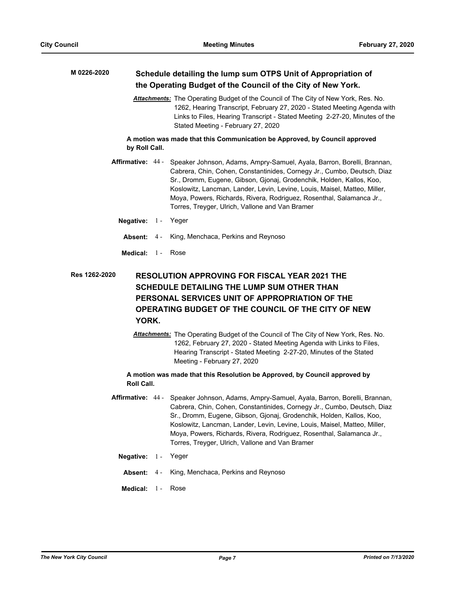| M 0226-2020<br>Schedule detailing the lump sum OTPS Unit of Appropriation of<br>the Operating Budget of the Council of the City of New York.                                                                                         |       |                                                                                                                                                                                                                                                                                                                                                                                                                                                     |  |  |
|--------------------------------------------------------------------------------------------------------------------------------------------------------------------------------------------------------------------------------------|-------|-----------------------------------------------------------------------------------------------------------------------------------------------------------------------------------------------------------------------------------------------------------------------------------------------------------------------------------------------------------------------------------------------------------------------------------------------------|--|--|
|                                                                                                                                                                                                                                      |       | Attachments: The Operating Budget of the Council of The City of New York, Res. No.<br>1262, Hearing Transcript, February 27, 2020 - Stated Meeting Agenda with<br>Links to Files, Hearing Transcript - Stated Meeting 2-27-20, Minutes of the<br>Stated Meeting - February 27, 2020                                                                                                                                                                 |  |  |
| A motion was made that this Communication be Approved, by Council approved<br>by Roll Call.                                                                                                                                          |       |                                                                                                                                                                                                                                                                                                                                                                                                                                                     |  |  |
|                                                                                                                                                                                                                                      |       | Affirmative: 44 - Speaker Johnson, Adams, Ampry-Samuel, Ayala, Barron, Borelli, Brannan,<br>Cabrera, Chin, Cohen, Constantinides, Cornegy Jr., Cumbo, Deutsch, Diaz<br>Sr., Dromm, Eugene, Gibson, Gjonaj, Grodenchik, Holden, Kallos, Koo,<br>Koslowitz, Lancman, Lander, Levin, Levine, Louis, Maisel, Matteo, Miller,<br>Moya, Powers, Richards, Rivera, Rodriguez, Rosenthal, Salamanca Jr.,<br>Torres, Treyger, Ulrich, Vallone and Van Bramer |  |  |
| Negative:                                                                                                                                                                                                                            |       | 1 - Yeger                                                                                                                                                                                                                                                                                                                                                                                                                                           |  |  |
| Absent: 4 -                                                                                                                                                                                                                          |       | King, Menchaca, Perkins and Reynoso                                                                                                                                                                                                                                                                                                                                                                                                                 |  |  |
| Medical: 1 - Rose                                                                                                                                                                                                                    |       |                                                                                                                                                                                                                                                                                                                                                                                                                                                     |  |  |
| Res 1262-2020<br><b>RESOLUTION APPROVING FOR FISCAL YEAR 2021 THE</b><br>SCHEDULE DETAILING THE LUMP SUM OTHER THAN<br>PERSONAL SERVICES UNIT OF APPROPRIATION OF THE<br>OPERATING BUDGET OF THE COUNCIL OF THE CITY OF NEW<br>YORK. |       |                                                                                                                                                                                                                                                                                                                                                                                                                                                     |  |  |
|                                                                                                                                                                                                                                      |       | Attachments: The Operating Budget of the Council of The City of New York, Res. No.                                                                                                                                                                                                                                                                                                                                                                  |  |  |
|                                                                                                                                                                                                                                      |       | 1262, February 27, 2020 - Stated Meeting Agenda with Links to Files,<br>Hearing Transcript - Stated Meeting 2-27-20, Minutes of the Stated<br>Meeting - February 27, 2020                                                                                                                                                                                                                                                                           |  |  |
| Roll Call.                                                                                                                                                                                                                           |       | A motion was made that this Resolution be Approved, by Council approved by                                                                                                                                                                                                                                                                                                                                                                          |  |  |
|                                                                                                                                                                                                                                      |       | Affirmative: 44 - Speaker Johnson, Adams, Ampry-Samuel, Ayala, Barron, Borelli, Brannan,<br>Cabrera, Chin, Cohen, Constantinides, Cornegy Jr., Cumbo, Deutsch, Diaz<br>Sr., Dromm, Eugene, Gibson, Gjonaj, Grodenchik, Holden, Kallos, Koo,<br>Koslowitz, Lancman, Lander, Levin, Levine, Louis, Maisel, Matteo, Miller,<br>Moya, Powers, Richards, Rivera, Rodriguez, Rosenthal, Salamanca Jr.,<br>Torres, Treyger, Ulrich, Vallone and Van Bramer |  |  |
| Negative:                                                                                                                                                                                                                            | $1 -$ | Yeger                                                                                                                                                                                                                                                                                                                                                                                                                                               |  |  |
| Absent:                                                                                                                                                                                                                              | 4 -   | King, Menchaca, Perkins and Reynoso                                                                                                                                                                                                                                                                                                                                                                                                                 |  |  |
| Medical:                                                                                                                                                                                                                             | $1 -$ | Rose                                                                                                                                                                                                                                                                                                                                                                                                                                                |  |  |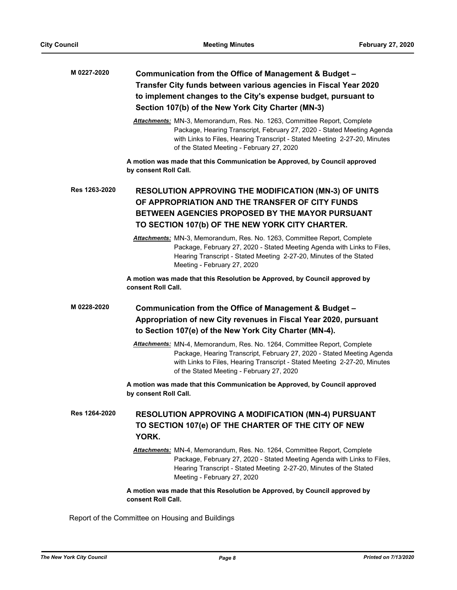| M 0227-2020   | Communication from the Office of Management & Budget -<br>Transfer City funds between various agencies in Fiscal Year 2020<br>to implement changes to the City's expense budget, pursuant to<br>Section 107(b) of the New York City Charter (MN-3)                                                              |
|---------------|-----------------------------------------------------------------------------------------------------------------------------------------------------------------------------------------------------------------------------------------------------------------------------------------------------------------|
|               | Attachments: MN-3, Memorandum, Res. No. 1263, Committee Report, Complete<br>Package, Hearing Transcript, February 27, 2020 - Stated Meeting Agenda<br>with Links to Files, Hearing Transcript - Stated Meeting 2-27-20, Minutes<br>of the Stated Meeting - February 27, 2020                                    |
|               | A motion was made that this Communication be Approved, by Council approved<br>by consent Roll Call.                                                                                                                                                                                                             |
| Res 1263-2020 | <b>RESOLUTION APPROVING THE MODIFICATION (MN-3) OF UNITS</b><br>OF APPROPRIATION AND THE TRANSFER OF CITY FUNDS<br><b>BETWEEN AGENCIES PROPOSED BY THE MAYOR PURSUANT</b><br>TO SECTION 107(b) OF THE NEW YORK CITY CHARTER.<br><b>Attachments:</b> MN-3, Memorandum, Res. No. 1263, Committee Report, Complete |
|               | Package, February 27, 2020 - Stated Meeting Agenda with Links to Files,<br>Hearing Transcript - Stated Meeting 2-27-20, Minutes of the Stated<br>Meeting - February 27, 2020                                                                                                                                    |
|               | A motion was made that this Resolution be Approved, by Council approved by<br>consent Roll Call.                                                                                                                                                                                                                |
| M 0228-2020   | Communication from the Office of Management & Budget -<br>Appropriation of new City revenues in Fiscal Year 2020, pursuant<br>to Section 107(e) of the New York City Charter (MN-4).                                                                                                                            |
|               | Attachments: MN-4, Memorandum, Res. No. 1264, Committee Report, Complete<br>Package, Hearing Transcript, February 27, 2020 - Stated Meeting Agenda<br>with Links to Files, Hearing Transcript - Stated Meeting 2-27-20, Minutes<br>of the Stated Meeting - February 27, 2020                                    |
|               | A motion was made that this Communication be Approved, by Council approved<br>by consent Roll Call.                                                                                                                                                                                                             |
| Res 1264-2020 | <b>RESOLUTION APPROVING A MODIFICATION (MN-4) PURSUANT</b><br>TO SECTION 107(e) OF THE CHARTER OF THE CITY OF NEW<br>YORK.                                                                                                                                                                                      |
|               | Attachments: MN-4, Memorandum, Res. No. 1264, Committee Report, Complete<br>Package, February 27, 2020 - Stated Meeting Agenda with Links to Files,<br>Hearing Transcript - Stated Meeting 2-27-20, Minutes of the Stated<br>Meeting - February 27, 2020                                                        |
|               | A motion was made that this Resolution be Approved, by Council approved by<br>consent Roll Call.                                                                                                                                                                                                                |

Report of the Committee on Housing and Buildings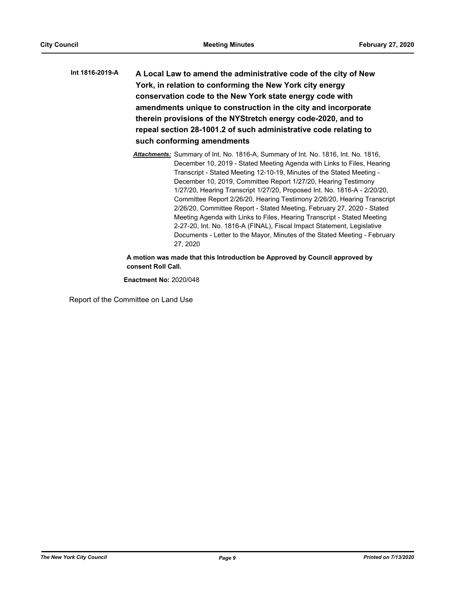- **A Local Law to amend the administrative code of the city of New York, in relation to conforming the New York city energy conservation code to the New York state energy code with amendments unique to construction in the city and incorporate therein provisions of the NYStretch energy code-2020, and to repeal section 28-1001.2 of such administrative code relating to such conforming amendments Int 1816-2019-A**
	- *Attachments:* Summary of Int. No. 1816-A, Summary of Int. No. 1816, Int. No. 1816, December 10, 2019 - Stated Meeting Agenda with Links to Files, Hearing Transcript - Stated Meeting 12-10-19, Minutes of the Stated Meeting - December 10, 2019, Committee Report 1/27/20, Hearing Testimony 1/27/20, Hearing Transcript 1/27/20, Proposed Int. No. 1816-A - 2/20/20, Committee Report 2/26/20, Hearing Testimony 2/26/20, Hearing Transcript 2/26/20, Committee Report - Stated Meeting, February 27, 2020 - Stated Meeting Agenda with Links to Files, Hearing Transcript - Stated Meeting 2-27-20, Int. No. 1816-A (FINAL), Fiscal Impact Statement, Legislative Documents - Letter to the Mayor, Minutes of the Stated Meeting - February 27, 2020

**A motion was made that this Introduction be Approved by Council approved by consent Roll Call.**

**Enactment No:** 2020/048

Report of the Committee on Land Use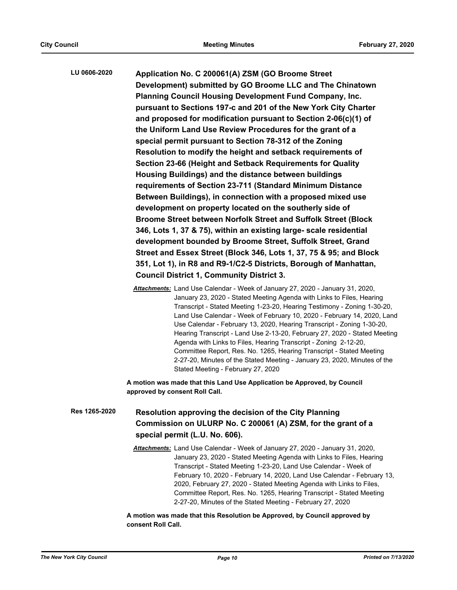**Application No. C 200061(A) ZSM (GO Broome Street Development) submitted by GO Broome LLC and The Chinatown Planning Council Housing Development Fund Company, Inc. pursuant to Sections 197-c and 201 of the New York City Charter and proposed for modification pursuant to Section 2-06(c)(1) of the Uniform Land Use Review Procedures for the grant of a special permit pursuant to Section 78-312 of the Zoning Resolution to modify the height and setback requirements of Section 23-66 (Height and Setback Requirements for Quality Housing Buildings) and the distance between buildings requirements of Section 23-711 (Standard Minimum Distance Between Buildings), in connection with a proposed mixed use development on property located on the southerly side of Broome Street between Norfolk Street and Suffolk Street (Block 346, Lots 1, 37 & 75), within an existing large- scale residential development bounded by Broome Street, Suffolk Street, Grand Street and Essex Street (Block 346, Lots 1, 37, 75 & 95; and Block 351, Lot 1), in R8 and R9-1/C2-5 Districts, Borough of Manhattan, Council District 1, Community District 3. LU 0606-2020**

> *Attachments:* Land Use Calendar - Week of January 27, 2020 - January 31, 2020, January 23, 2020 - Stated Meeting Agenda with Links to Files, Hearing Transcript - Stated Meeting 1-23-20, Hearing Testimony - Zoning 1-30-20, Land Use Calendar - Week of February 10, 2020 - February 14, 2020, Land Use Calendar - February 13, 2020, Hearing Transcript - Zoning 1-30-20, Hearing Transcript - Land Use 2-13-20, February 27, 2020 - Stated Meeting Agenda with Links to Files, Hearing Transcript - Zoning 2-12-20, Committee Report, Res. No. 1265, Hearing Transcript - Stated Meeting 2-27-20, Minutes of the Stated Meeting - January 23, 2020, Minutes of the Stated Meeting - February 27, 2020

**A motion was made that this Land Use Application be Approved, by Council approved by consent Roll Call.**

## **Resolution approving the decision of the City Planning Commission on ULURP No. C 200061 (A) ZSM, for the grant of a special permit (L.U. No. 606). Res 1265-2020**

*Attachments:* Land Use Calendar - Week of January 27, 2020 - January 31, 2020, January 23, 2020 - Stated Meeting Agenda with Links to Files, Hearing Transcript - Stated Meeting 1-23-20, Land Use Calendar - Week of February 10, 2020 - February 14, 2020, Land Use Calendar - February 13, 2020, February 27, 2020 - Stated Meeting Agenda with Links to Files, Committee Report, Res. No. 1265, Hearing Transcript - Stated Meeting 2-27-20, Minutes of the Stated Meeting - February 27, 2020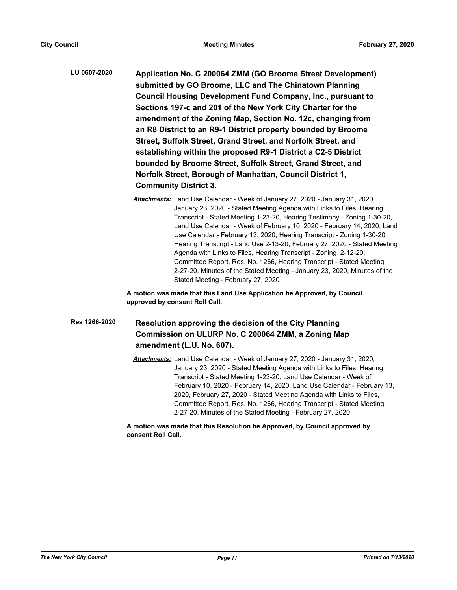**Application No. C 200064 ZMM (GO Broome Street Development) submitted by GO Broome, LLC and The Chinatown Planning Council Housing Development Fund Company, Inc., pursuant to Sections 197-c and 201 of the New York City Charter for the amendment of the Zoning Map, Section No. 12c, changing from an R8 District to an R9-1 District property bounded by Broome Street, Suffolk Street, Grand Street, and Norfolk Street, and establishing within the proposed R9-1 District a C2-5 District bounded by Broome Street, Suffolk Street, Grand Street, and Norfolk Street, Borough of Manhattan, Council District 1, Community District 3. LU 0607-2020**

> *Attachments:* Land Use Calendar - Week of January 27, 2020 - January 31, 2020, January 23, 2020 - Stated Meeting Agenda with Links to Files, Hearing Transcript - Stated Meeting 1-23-20, Hearing Testimony - Zoning 1-30-20, Land Use Calendar - Week of February 10, 2020 - February 14, 2020, Land Use Calendar - February 13, 2020, Hearing Transcript - Zoning 1-30-20, Hearing Transcript - Land Use 2-13-20, February 27, 2020 - Stated Meeting Agenda with Links to Files, Hearing Transcript - Zoning 2-12-20, Committee Report, Res. No. 1266, Hearing Transcript - Stated Meeting 2-27-20, Minutes of the Stated Meeting - January 23, 2020, Minutes of the Stated Meeting - February 27, 2020

**A motion was made that this Land Use Application be Approved, by Council approved by consent Roll Call.**

**Resolution approving the decision of the City Planning Commission on ULURP No. C 200064 ZMM, a Zoning Map amendment (L.U. No. 607). Res 1266-2020**

> *Attachments:* Land Use Calendar - Week of January 27, 2020 - January 31, 2020, January 23, 2020 - Stated Meeting Agenda with Links to Files, Hearing Transcript - Stated Meeting 1-23-20, Land Use Calendar - Week of February 10, 2020 - February 14, 2020, Land Use Calendar - February 13, 2020, February 27, 2020 - Stated Meeting Agenda with Links to Files, Committee Report, Res. No. 1266, Hearing Transcript - Stated Meeting 2-27-20, Minutes of the Stated Meeting - February 27, 2020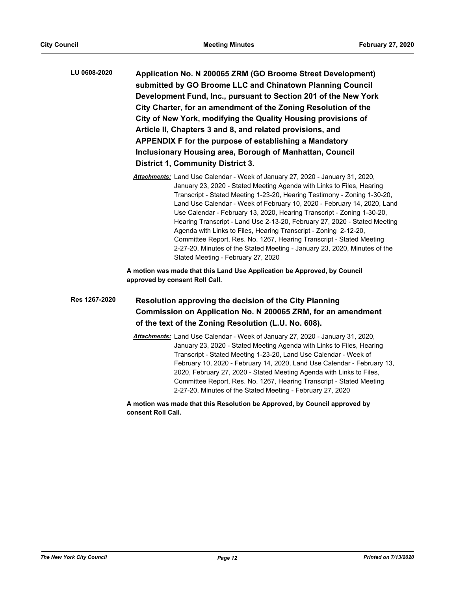**Application No. N 200065 ZRM (GO Broome Street Development) submitted by GO Broome LLC and Chinatown Planning Council Development Fund, Inc., pursuant to Section 201 of the New York City Charter, for an amendment of the Zoning Resolution of the City of New York, modifying the Quality Housing provisions of Article II, Chapters 3 and 8, and related provisions, and APPENDIX F for the purpose of establishing a Mandatory Inclusionary Housing area, Borough of Manhattan, Council District 1, Community District 3. LU 0608-2020**

> *Attachments:* Land Use Calendar - Week of January 27, 2020 - January 31, 2020, January 23, 2020 - Stated Meeting Agenda with Links to Files, Hearing Transcript - Stated Meeting 1-23-20, Hearing Testimony - Zoning 1-30-20, Land Use Calendar - Week of February 10, 2020 - February 14, 2020, Land Use Calendar - February 13, 2020, Hearing Transcript - Zoning 1-30-20, Hearing Transcript - Land Use 2-13-20, February 27, 2020 - Stated Meeting Agenda with Links to Files, Hearing Transcript - Zoning 2-12-20, Committee Report, Res. No. 1267, Hearing Transcript - Stated Meeting 2-27-20, Minutes of the Stated Meeting - January 23, 2020, Minutes of the Stated Meeting - February 27, 2020

**A motion was made that this Land Use Application be Approved, by Council approved by consent Roll Call.**

## **Resolution approving the decision of the City Planning Commission on Application No. N 200065 ZRM, for an amendment of the text of the Zoning Resolution (L.U. No. 608). Res 1267-2020**

*Attachments:* Land Use Calendar - Week of January 27, 2020 - January 31, 2020, January 23, 2020 - Stated Meeting Agenda with Links to Files, Hearing Transcript - Stated Meeting 1-23-20, Land Use Calendar - Week of February 10, 2020 - February 14, 2020, Land Use Calendar - February 13, 2020, February 27, 2020 - Stated Meeting Agenda with Links to Files, Committee Report, Res. No. 1267, Hearing Transcript - Stated Meeting 2-27-20, Minutes of the Stated Meeting - February 27, 2020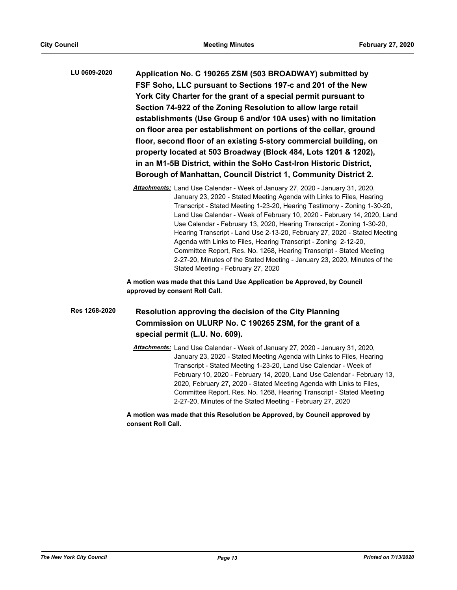**Application No. C 190265 ZSM (503 BROADWAY) submitted by FSF Soho, LLC pursuant to Sections 197-c and 201 of the New York City Charter for the grant of a special permit pursuant to Section 74-922 of the Zoning Resolution to allow large retail establishments (Use Group 6 and/or 10A uses) with no limitation on floor area per establishment on portions of the cellar, ground floor, second floor of an existing 5-story commercial building, on property located at 503 Broadway (Block 484, Lots 1201 & 1202), in an M1-5B District, within the SoHo Cast-Iron Historic District, Borough of Manhattan, Council District 1, Community District 2. LU 0609-2020**

> *Attachments:* Land Use Calendar - Week of January 27, 2020 - January 31, 2020, January 23, 2020 - Stated Meeting Agenda with Links to Files, Hearing Transcript - Stated Meeting 1-23-20, Hearing Testimony - Zoning 1-30-20, Land Use Calendar - Week of February 10, 2020 - February 14, 2020, Land Use Calendar - February 13, 2020, Hearing Transcript - Zoning 1-30-20, Hearing Transcript - Land Use 2-13-20, February 27, 2020 - Stated Meeting Agenda with Links to Files, Hearing Transcript - Zoning 2-12-20, Committee Report, Res. No. 1268, Hearing Transcript - Stated Meeting 2-27-20, Minutes of the Stated Meeting - January 23, 2020, Minutes of the Stated Meeting - February 27, 2020

**A motion was made that this Land Use Application be Approved, by Council approved by consent Roll Call.**

**Resolution approving the decision of the City Planning Commission on ULURP No. C 190265 ZSM, for the grant of a special permit (L.U. No. 609). Res 1268-2020**

> *Attachments:* Land Use Calendar - Week of January 27, 2020 - January 31, 2020, January 23, 2020 - Stated Meeting Agenda with Links to Files, Hearing Transcript - Stated Meeting 1-23-20, Land Use Calendar - Week of February 10, 2020 - February 14, 2020, Land Use Calendar - February 13, 2020, February 27, 2020 - Stated Meeting Agenda with Links to Files, Committee Report, Res. No. 1268, Hearing Transcript - Stated Meeting 2-27-20, Minutes of the Stated Meeting - February 27, 2020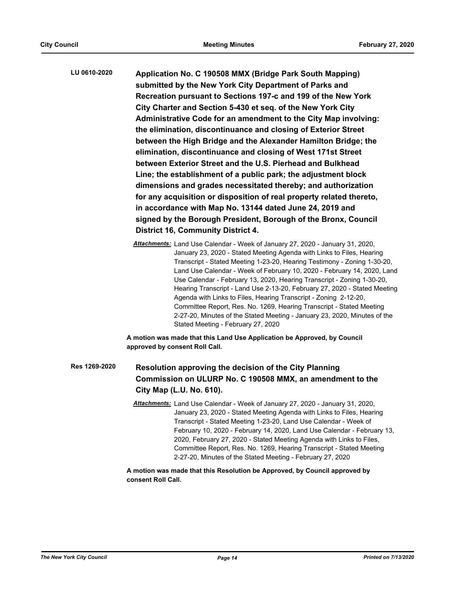**Application No. C 190508 MMX (Bridge Park South Mapping) submitted by the New York City Department of Parks and Recreation pursuant to Sections 197-c and 199 of the New York City Charter and Section 5-430 et seq. of the New York City Administrative Code for an amendment to the City Map involving: the elimination, discontinuance and closing of Exterior Street between the High Bridge and the Alexander Hamilton Bridge; the elimination, discontinuance and closing of West 171st Street between Exterior Street and the U.S. Pierhead and Bulkhead Line; the establishment of a public park; the adjustment block dimensions and grades necessitated thereby; and authorization for any acquisition or disposition of real property related thereto, in accordance with Map No. 13144 dated June 24, 2019 and signed by the Borough President, Borough of the Bronx, Council District 16, Community District 4. LU 0610-2020**

> *Attachments:* Land Use Calendar - Week of January 27, 2020 - January 31, 2020, January 23, 2020 - Stated Meeting Agenda with Links to Files, Hearing Transcript - Stated Meeting 1-23-20, Hearing Testimony - Zoning 1-30-20, Land Use Calendar - Week of February 10, 2020 - February 14, 2020, Land Use Calendar - February 13, 2020, Hearing Transcript - Zoning 1-30-20, Hearing Transcript - Land Use 2-13-20, February 27, 2020 - Stated Meeting Agenda with Links to Files, Hearing Transcript - Zoning 2-12-20, Committee Report, Res. No. 1269, Hearing Transcript - Stated Meeting 2-27-20, Minutes of the Stated Meeting - January 23, 2020, Minutes of the Stated Meeting - February 27, 2020

**A motion was made that this Land Use Application be Approved, by Council approved by consent Roll Call.**

## **Resolution approving the decision of the City Planning Commission on ULURP No. C 190508 MMX, an amendment to the City Map (L.U. No. 610). Res 1269-2020**

*Attachments:* Land Use Calendar - Week of January 27, 2020 - January 31, 2020, January 23, 2020 - Stated Meeting Agenda with Links to Files, Hearing Transcript - Stated Meeting 1-23-20, Land Use Calendar - Week of February 10, 2020 - February 14, 2020, Land Use Calendar - February 13, 2020, February 27, 2020 - Stated Meeting Agenda with Links to Files, Committee Report, Res. No. 1269, Hearing Transcript - Stated Meeting 2-27-20, Minutes of the Stated Meeting - February 27, 2020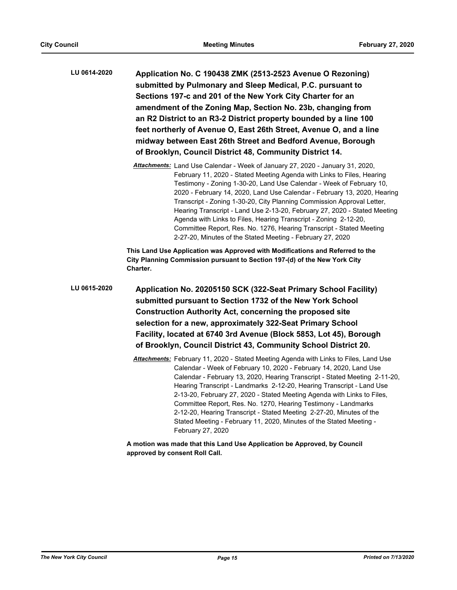**Application No. C 190438 ZMK (2513-2523 Avenue O Rezoning) submitted by Pulmonary and Sleep Medical, P.C. pursuant to Sections 197-c and 201 of the New York City Charter for an amendment of the Zoning Map, Section No. 23b, changing from an R2 District to an R3-2 District property bounded by a line 100 feet northerly of Avenue O, East 26th Street, Avenue O, and a line midway between East 26th Street and Bedford Avenue, Borough of Brooklyn, Council District 48, Community District 14. LU 0614-2020**

> *Attachments:* Land Use Calendar - Week of January 27, 2020 - January 31, 2020, February 11, 2020 - Stated Meeting Agenda with Links to Files, Hearing Testimony - Zoning 1-30-20, Land Use Calendar - Week of February 10, 2020 - February 14, 2020, Land Use Calendar - February 13, 2020, Hearing Transcript - Zoning 1-30-20, City Planning Commission Approval Letter, Hearing Transcript - Land Use 2-13-20, February 27, 2020 - Stated Meeting Agenda with Links to Files, Hearing Transcript - Zoning 2-12-20, Committee Report, Res. No. 1276, Hearing Transcript - Stated Meeting 2-27-20, Minutes of the Stated Meeting - February 27, 2020

**This Land Use Application was Approved with Modifications and Referred to the City Planning Commission pursuant to Section 197-(d) of the New York City Charter.**

**Application No. 20205150 SCK (322-Seat Primary School Facility) submitted pursuant to Section 1732 of the New York School Construction Authority Act, concerning the proposed site selection for a new, approximately 322-Seat Primary School Facility, located at 6740 3rd Avenue (Block 5853, Lot 45), Borough of Brooklyn, Council District 43, Community School District 20. LU 0615-2020**

> *Attachments:* February 11, 2020 - Stated Meeting Agenda with Links to Files, Land Use Calendar - Week of February 10, 2020 - February 14, 2020, Land Use Calendar - February 13, 2020, Hearing Transcript - Stated Meeting 2-11-20, Hearing Transcript - Landmarks 2-12-20, Hearing Transcript - Land Use 2-13-20, February 27, 2020 - Stated Meeting Agenda with Links to Files, Committee Report, Res. No. 1270, Hearing Testimony - Landmarks 2-12-20, Hearing Transcript - Stated Meeting 2-27-20, Minutes of the Stated Meeting - February 11, 2020, Minutes of the Stated Meeting - February 27, 2020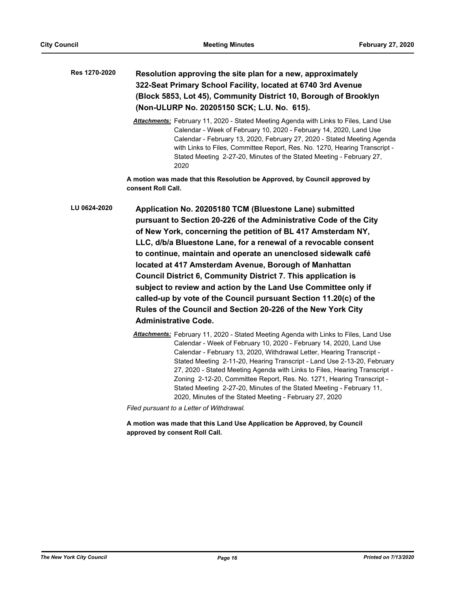| Res 1270-2020 | Resolution approving the site plan for a new, approximately      |
|---------------|------------------------------------------------------------------|
|               | 322-Seat Primary School Facility, located at 6740 3rd Avenue     |
|               | (Block 5853, Lot 45), Community District 10, Borough of Brooklyn |
|               | (Non-ULURP No. 20205150 SCK; L.U. No. 615).                      |

*Attachments:* February 11, 2020 - Stated Meeting Agenda with Links to Files, Land Use Calendar - Week of February 10, 2020 - February 14, 2020, Land Use Calendar - February 13, 2020, February 27, 2020 - Stated Meeting Agenda with Links to Files, Committee Report, Res. No. 1270, Hearing Transcript - Stated Meeting 2-27-20, Minutes of the Stated Meeting - February 27, 2020

**A motion was made that this Resolution be Approved, by Council approved by consent Roll Call.**

**Application No. 20205180 TCM (Bluestone Lane) submitted pursuant to Section 20-226 of the Administrative Code of the City of New York, concerning the petition of BL 417 Amsterdam NY, LLC, d/b/a Bluestone Lane, for a renewal of a revocable consent to continue, maintain and operate an unenclosed sidewalk café located at 417 Amsterdam Avenue, Borough of Manhattan Council District 6, Community District 7. This application is subject to review and action by the Land Use Committee only if called-up by vote of the Council pursuant Section 11.20(c) of the Rules of the Council and Section 20-226 of the New York City Administrative Code. LU 0624-2020**

> *Attachments:* February 11, 2020 - Stated Meeting Agenda with Links to Files, Land Use Calendar - Week of February 10, 2020 - February 14, 2020, Land Use Calendar - February 13, 2020, Withdrawal Letter, Hearing Transcript - Stated Meeting 2-11-20, Hearing Transcript - Land Use 2-13-20, February 27, 2020 - Stated Meeting Agenda with Links to Files, Hearing Transcript - Zoning 2-12-20, Committee Report, Res. No. 1271, Hearing Transcript - Stated Meeting 2-27-20, Minutes of the Stated Meeting - February 11, 2020, Minutes of the Stated Meeting - February 27, 2020

*Filed pursuant to a Letter of Withdrawal.*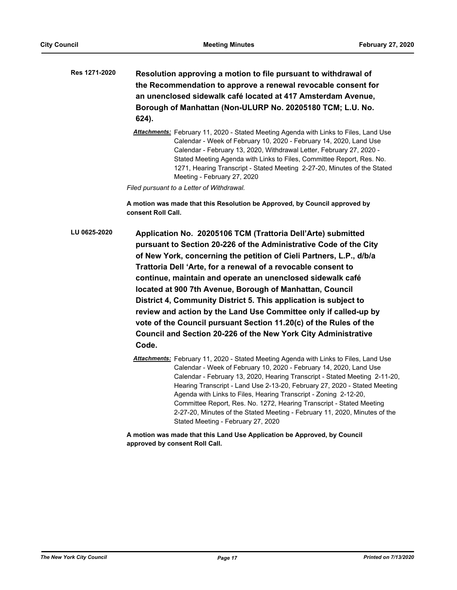**Resolution approving a motion to file pursuant to withdrawal of the Recommendation to approve a renewal revocable consent for an unenclosed sidewalk café located at 417 Amsterdam Avenue, Borough of Manhattan (Non-ULURP No. 20205180 TCM; L.U. No. 624). Res 1271-2020**

> *Attachments:* February 11, 2020 - Stated Meeting Agenda with Links to Files, Land Use Calendar - Week of February 10, 2020 - February 14, 2020, Land Use Calendar - February 13, 2020, Withdrawal Letter, February 27, 2020 - Stated Meeting Agenda with Links to Files, Committee Report, Res. No. 1271, Hearing Transcript - Stated Meeting 2-27-20, Minutes of the Stated Meeting - February 27, 2020

*Filed pursuant to a Letter of Withdrawal.*

**A motion was made that this Resolution be Approved, by Council approved by consent Roll Call.**

**Application No. 20205106 TCM (Trattoria Dell'Arte) submitted pursuant to Section 20-226 of the Administrative Code of the City of New York, concerning the petition of Cieli Partners, L.P., d/b/a Trattoria Dell 'Arte, for a renewal of a revocable consent to continue, maintain and operate an unenclosed sidewalk café located at 900 7th Avenue, Borough of Manhattan, Council District 4, Community District 5. This application is subject to review and action by the Land Use Committee only if called-up by vote of the Council pursuant Section 11.20(c) of the Rules of the Council and Section 20-226 of the New York City Administrative Code. LU 0625-2020**

> *Attachments:* February 11, 2020 - Stated Meeting Agenda with Links to Files, Land Use Calendar - Week of February 10, 2020 - February 14, 2020, Land Use Calendar - February 13, 2020, Hearing Transcript - Stated Meeting 2-11-20, Hearing Transcript - Land Use 2-13-20, February 27, 2020 - Stated Meeting Agenda with Links to Files, Hearing Transcript - Zoning 2-12-20, Committee Report, Res. No. 1272, Hearing Transcript - Stated Meeting 2-27-20, Minutes of the Stated Meeting - February 11, 2020, Minutes of the Stated Meeting - February 27, 2020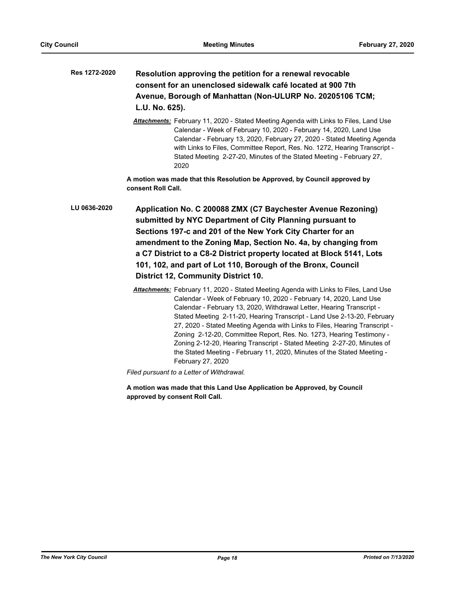| Res 1272-2020 | Resolution approving the petition for a renewal revocable<br>consent for an unenclosed sidewalk café located at 900 7th<br>Avenue, Borough of Manhattan (Non-ULURP No. 20205106 TCM;<br>L.U. No. 625).                                                                                                                                                                                                                                                                                                                                                                                                                                                 |  |  |
|---------------|--------------------------------------------------------------------------------------------------------------------------------------------------------------------------------------------------------------------------------------------------------------------------------------------------------------------------------------------------------------------------------------------------------------------------------------------------------------------------------------------------------------------------------------------------------------------------------------------------------------------------------------------------------|--|--|
|               | <b>Attachments:</b> February 11, 2020 - Stated Meeting Agenda with Links to Files, Land Use<br>Calendar - Week of February 10, 2020 - February 14, 2020, Land Use<br>Calendar - February 13, 2020, February 27, 2020 - Stated Meeting Agenda<br>with Links to Files, Committee Report, Res. No. 1272, Hearing Transcript -<br>Stated Meeting 2-27-20, Minutes of the Stated Meeting - February 27,<br>2020                                                                                                                                                                                                                                             |  |  |
|               | A motion was made that this Resolution be Approved, by Council approved by<br>consent Roll Call.                                                                                                                                                                                                                                                                                                                                                                                                                                                                                                                                                       |  |  |
| LU 0636-2020  | Application No. C 200088 ZMX (C7 Baychester Avenue Rezoning)<br>submitted by NYC Department of City Planning pursuant to<br>Sections 197-c and 201 of the New York City Charter for an<br>amendment to the Zoning Map, Section No. 4a, by changing from<br>a C7 District to a C8-2 District property located at Block 5141, Lots<br>101, 102, and part of Lot 110, Borough of the Bronx, Council<br><b>District 12, Community District 10.</b>                                                                                                                                                                                                         |  |  |
|               | <b>Attachments:</b> February 11, 2020 - Stated Meeting Agenda with Links to Files, Land Use<br>Calendar - Week of February 10, 2020 - February 14, 2020, Land Use<br>Calendar - February 13, 2020, Withdrawal Letter, Hearing Transcript -<br>Stated Meeting 2-11-20, Hearing Transcript - Land Use 2-13-20, February<br>27, 2020 - Stated Meeting Agenda with Links to Files, Hearing Transcript -<br>Zoning 2-12-20, Committee Report, Res. No. 1273, Hearing Testimony -<br>Zoning 2-12-20, Hearing Transcript - Stated Meeting 2-27-20, Minutes of<br>the Stated Meeting - February 11, 2020, Minutes of the Stated Meeting -<br>February 27, 2020 |  |  |

*Filed pursuant to a Letter of Withdrawal.*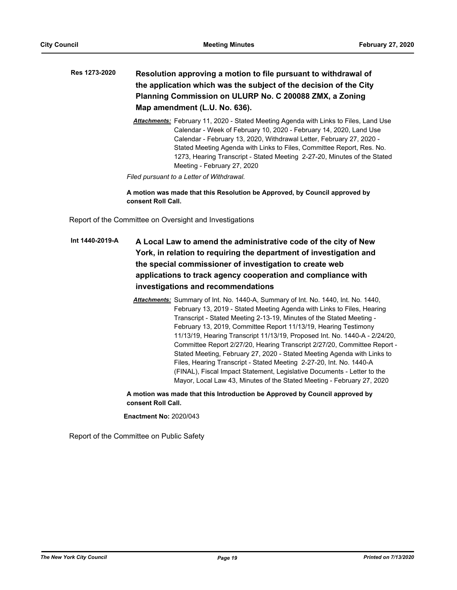## **Resolution approving a motion to file pursuant to withdrawal of the application which was the subject of the decision of the City Planning Commission on ULURP No. C 200088 ZMX, a Zoning Map amendment (L.U. No. 636). Res 1273-2020**

*Attachments:* February 11, 2020 - Stated Meeting Agenda with Links to Files, Land Use Calendar - Week of February 10, 2020 - February 14, 2020, Land Use Calendar - February 13, 2020, Withdrawal Letter, February 27, 2020 - Stated Meeting Agenda with Links to Files, Committee Report, Res. No. 1273, Hearing Transcript - Stated Meeting 2-27-20, Minutes of the Stated Meeting - February 27, 2020

*Filed pursuant to a Letter of Withdrawal.*

**A motion was made that this Resolution be Approved, by Council approved by consent Roll Call.**

Report of the Committee on Oversight and Investigations

- **A Local Law to amend the administrative code of the city of New York, in relation to requiring the department of investigation and the special commissioner of investigation to create web applications to track agency cooperation and compliance with investigations and recommendations Int 1440-2019-A**
	- *Attachments:* Summary of Int. No. 1440-A, Summary of Int. No. 1440, Int. No. 1440, February 13, 2019 - Stated Meeting Agenda with Links to Files, Hearing Transcript - Stated Meeting 2-13-19, Minutes of the Stated Meeting - February 13, 2019, Committee Report 11/13/19, Hearing Testimony 11/13/19, Hearing Transcript 11/13/19, Proposed Int. No. 1440-A - 2/24/20, Committee Report 2/27/20, Hearing Transcript 2/27/20, Committee Report - Stated Meeting, February 27, 2020 - Stated Meeting Agenda with Links to Files, Hearing Transcript - Stated Meeting 2-27-20, Int. No. 1440-A (FINAL), Fiscal Impact Statement, Legislative Documents - Letter to the Mayor, Local Law 43, Minutes of the Stated Meeting - February 27, 2020

**A motion was made that this Introduction be Approved by Council approved by consent Roll Call.**

**Enactment No:** 2020/043

Report of the Committee on Public Safety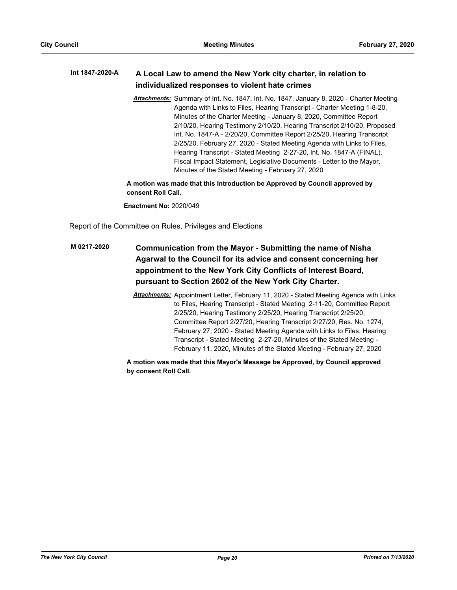#### **A Local Law to amend the New York city charter, in relation to individualized responses to violent hate crimes Int 1847-2020-A**

*Attachments:* Summary of Int. No. 1847, Int. No. 1847, January 8, 2020 - Charter Meeting Agenda with Links to Files, Hearing Transcript - Charter Meeting 1-8-20, Minutes of the Charter Meeting - January 8, 2020, Committee Report 2/10/20, Hearing Testimony 2/10/20, Hearing Transcript 2/10/20, Proposed Int. No. 1847-A - 2/20/20, Committee Report 2/25/20, Hearing Transcript 2/25/20, February 27, 2020 - Stated Meeting Agenda with Links to Files, Hearing Transcript - Stated Meeting 2-27-20, Int. No. 1847-A (FINAL), Fiscal Impact Statement, Legislative Documents - Letter to the Mayor, Minutes of the Stated Meeting - February 27, 2020

## **A motion was made that this Introduction be Approved by Council approved by consent Roll Call.**

**Enactment No:** 2020/049

Report of the Committee on Rules, Privileges and Elections

## **Communication from the Mayor - Submitting the name of Nisha Agarwal to the Council for its advice and consent concerning her appointment to the New York City Conflicts of Interest Board, pursuant to Section 2602 of the New York City Charter. M 0217-2020**

*Attachments:* Appointment Letter, February 11, 2020 - Stated Meeting Agenda with Links to Files, Hearing Transcript - Stated Meeting 2-11-20, Committee Report 2/25/20, Hearing Testimony 2/25/20, Hearing Transcript 2/25/20, Committee Report 2/27/20, Hearing Transcript 2/27/20, Res. No. 1274, February 27, 2020 - Stated Meeting Agenda with Links to Files, Hearing Transcript - Stated Meeting 2-27-20, Minutes of the Stated Meeting - February 11, 2020, Minutes of the Stated Meeting - February 27, 2020

## **A motion was made that this Mayor's Message be Approved, by Council approved by consent Roll Call.**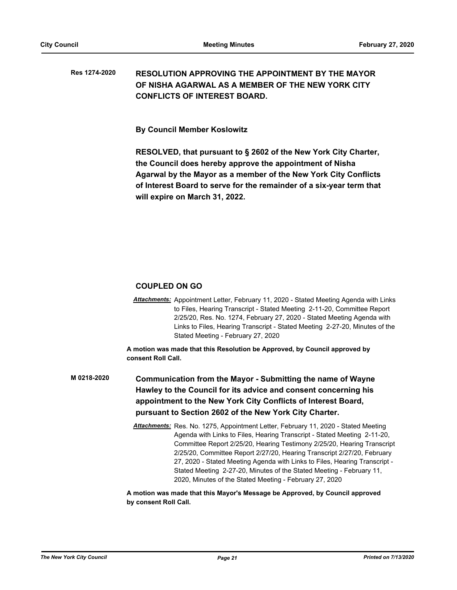#### **RESOLUTION APPROVING THE APPOINTMENT BY THE MAYOR OF NISHA AGARWAL AS A MEMBER OF THE NEW YORK CITY CONFLICTS OF INTEREST BOARD. Res 1274-2020**

**By Council Member Koslowitz**

**RESOLVED, that pursuant to § 2602 of the New York City Charter, the Council does hereby approve the appointment of Nisha Agarwal by the Mayor as a member of the New York City Conflicts of Interest Board to serve for the remainder of a six-year term that will expire on March 31, 2022.**

## **COUPLED ON GO**

*Attachments:* Appointment Letter, February 11, 2020 - Stated Meeting Agenda with Links to Files, Hearing Transcript - Stated Meeting 2-11-20, Committee Report 2/25/20, Res. No. 1274, February 27, 2020 - Stated Meeting Agenda with Links to Files, Hearing Transcript - Stated Meeting 2-27-20, Minutes of the Stated Meeting - February 27, 2020

**A motion was made that this Resolution be Approved, by Council approved by consent Roll Call.**

**Communication from the Mayor - Submitting the name of Wayne Hawley to the Council for its advice and consent concerning his appointment to the New York City Conflicts of Interest Board, pursuant to Section 2602 of the New York City Charter. M 0218-2020**

> *Attachments:* Res. No. 1275, Appointment Letter, February 11, 2020 - Stated Meeting Agenda with Links to Files, Hearing Transcript - Stated Meeting 2-11-20, Committee Report 2/25/20, Hearing Testimony 2/25/20, Hearing Transcript 2/25/20, Committee Report 2/27/20, Hearing Transcript 2/27/20, February 27, 2020 - Stated Meeting Agenda with Links to Files, Hearing Transcript - Stated Meeting 2-27-20, Minutes of the Stated Meeting - February 11, 2020, Minutes of the Stated Meeting - February 27, 2020

**A motion was made that this Mayor's Message be Approved, by Council approved by consent Roll Call.**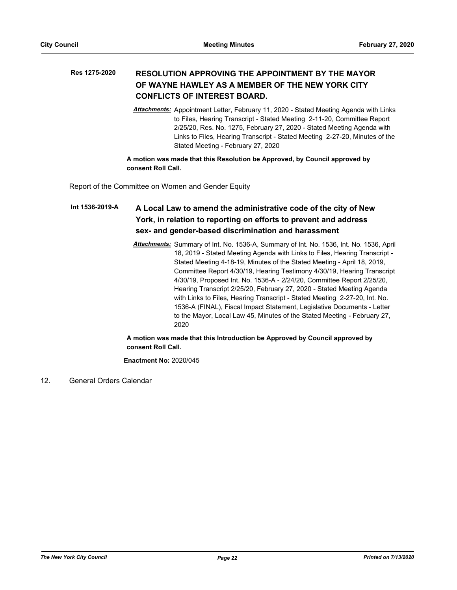#### **RESOLUTION APPROVING THE APPOINTMENT BY THE MAYOR OF WAYNE HAWLEY AS A MEMBER OF THE NEW YORK CITY CONFLICTS OF INTEREST BOARD. Res 1275-2020**

*Attachments:* Appointment Letter, February 11, 2020 - Stated Meeting Agenda with Links to Files, Hearing Transcript - Stated Meeting 2-11-20, Committee Report 2/25/20, Res. No. 1275, February 27, 2020 - Stated Meeting Agenda with Links to Files, Hearing Transcript - Stated Meeting 2-27-20, Minutes of the Stated Meeting - February 27, 2020

## **A motion was made that this Resolution be Approved, by Council approved by consent Roll Call.**

Report of the Committee on Women and Gender Equity

#### **A Local Law to amend the administrative code of the city of New York, in relation to reporting on efforts to prevent and address sex- and gender-based discrimination and harassment Int 1536-2019-A**

*Attachments:* Summary of Int. No. 1536-A, Summary of Int. No. 1536, Int. No. 1536, April 18, 2019 - Stated Meeting Agenda with Links to Files, Hearing Transcript - Stated Meeting 4-18-19, Minutes of the Stated Meeting - April 18, 2019, Committee Report 4/30/19, Hearing Testimony 4/30/19, Hearing Transcript 4/30/19, Proposed Int. No. 1536-A - 2/24/20, Committee Report 2/25/20, Hearing Transcript 2/25/20, February 27, 2020 - Stated Meeting Agenda with Links to Files, Hearing Transcript - Stated Meeting 2-27-20, Int. No. 1536-A (FINAL), Fiscal Impact Statement, Legislative Documents - Letter to the Mayor, Local Law 45, Minutes of the Stated Meeting - February 27, 2020

**A motion was made that this Introduction be Approved by Council approved by consent Roll Call.**

**Enactment No:** 2020/045

12. General Orders Calendar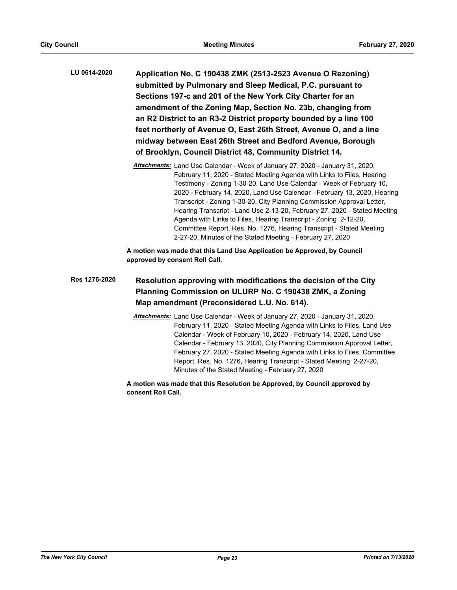| LU 0614-2020  | Application No. C 190438 ZMK (2513-2523 Avenue O Rezoning)<br>submitted by Pulmonary and Sleep Medical, P.C. pursuant to<br>Sections 197-c and 201 of the New York City Charter for an<br>amendment of the Zoning Map, Section No. 23b, changing from<br>an R2 District to an R3-2 District property bounded by a line 100<br>feet northerly of Avenue O, East 26th Street, Avenue O, and a line<br>midway between East 26th Street and Bedford Avenue, Borough<br>of Brooklyn, Council District 48, Community District 14.                                                                                                                                                  |  |  |
|---------------|------------------------------------------------------------------------------------------------------------------------------------------------------------------------------------------------------------------------------------------------------------------------------------------------------------------------------------------------------------------------------------------------------------------------------------------------------------------------------------------------------------------------------------------------------------------------------------------------------------------------------------------------------------------------------|--|--|
|               | Attachments: Land Use Calendar - Week of January 27, 2020 - January 31, 2020,<br>February 11, 2020 - Stated Meeting Agenda with Links to Files, Hearing<br>Testimony - Zoning 1-30-20, Land Use Calendar - Week of February 10,<br>2020 - February 14, 2020, Land Use Calendar - February 13, 2020, Hearing<br>Transcript - Zoning 1-30-20, City Planning Commission Approval Letter,<br>Hearing Transcript - Land Use 2-13-20, February 27, 2020 - Stated Meeting<br>Agenda with Links to Files, Hearing Transcript - Zoning 2-12-20,<br>Committee Report, Res. No. 1276, Hearing Transcript - Stated Meeting<br>2-27-20, Minutes of the Stated Meeting - February 27, 2020 |  |  |
|               | A motion was made that this Land Use Application be Approved, by Council<br>approved by consent Roll Call.                                                                                                                                                                                                                                                                                                                                                                                                                                                                                                                                                                   |  |  |
| Res 1276-2020 | Resolution approving with modifications the decision of the City<br>Planning Commission on ULURP No. C 190438 ZMK, a Zoning<br>Map amendment (Preconsidered L.U. No. 614).                                                                                                                                                                                                                                                                                                                                                                                                                                                                                                   |  |  |
|               | Attachments: Land Use Calendar - Week of January 27, 2020 - January 31, 2020,<br>February 11, 2020 - Stated Meeting Agenda with Links to Files, Land Use<br>Calendar - Week of February 10, 2020 - February 14, 2020, Land Use<br>Calendar - February 13, 2020, City Planning Commission Approval Letter,<br>February 27, 2020 - Stated Meeting Agenda with Links to Files, Committee<br>Report, Res. No. 1276, Hearing Transcript - Stated Meeting 2-27-20,                                                                                                                                                                                                                 |  |  |

**A motion was made that this Resolution be Approved, by Council approved by consent Roll Call.**

Minutes of the Stated Meeting - February 27, 2020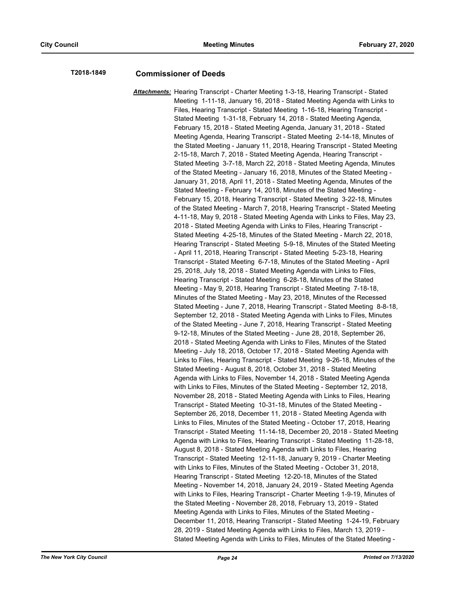## **T2018-1849 Commissioner of Deeds**

*Attachments:* Hearing Transcript - Charter Meeting 1-3-18, Hearing Transcript - Stated Meeting 1-11-18, January 16, 2018 - Stated Meeting Agenda with Links to Files, Hearing Transcript - Stated Meeting 1-16-18, Hearing Transcript - Stated Meeting 1-31-18, February 14, 2018 - Stated Meeting Agenda, February 15, 2018 - Stated Meeting Agenda, January 31, 2018 - Stated Meeting Agenda, Hearing Transcript - Stated Meeting 2-14-18, Minutes of the Stated Meeting - January 11, 2018, Hearing Transcript - Stated Meeting 2-15-18, March 7, 2018 - Stated Meeting Agenda, Hearing Transcript - Stated Meeting 3-7-18, March 22, 2018 - Stated Meeting Agenda, Minutes of the Stated Meeting - January 16, 2018, Minutes of the Stated Meeting - January 31, 2018, April 11, 2018 - Stated Meeting Agenda, Minutes of the Stated Meeting - February 14, 2018, Minutes of the Stated Meeting - February 15, 2018, Hearing Transcript - Stated Meeting 3-22-18, Minutes of the Stated Meeting - March 7, 2018, Hearing Transcript - Stated Meeting 4-11-18, May 9, 2018 - Stated Meeting Agenda with Links to Files, May 23, 2018 - Stated Meeting Agenda with Links to Files, Hearing Transcript - Stated Meeting 4-25-18, Minutes of the Stated Meeting - March 22, 2018, Hearing Transcript - Stated Meeting 5-9-18, Minutes of the Stated Meeting - April 11, 2018, Hearing Transcript - Stated Meeting 5-23-18, Hearing Transcript - Stated Meeting 6-7-18, Minutes of the Stated Meeting - April 25, 2018, July 18, 2018 - Stated Meeting Agenda with Links to Files, Hearing Transcript - Stated Meeting 6-28-18, Minutes of the Stated Meeting - May 9, 2018, Hearing Transcript - Stated Meeting 7-18-18, Minutes of the Stated Meeting - May 23, 2018, Minutes of the Recessed Stated Meeting - June 7, 2018, Hearing Transcript - Stated Meeting 8-8-18, September 12, 2018 - Stated Meeting Agenda with Links to Files, Minutes of the Stated Meeting - June 7, 2018, Hearing Transcript - Stated Meeting 9-12-18, Minutes of the Stated Meeting - June 28, 2018, September 26, 2018 - Stated Meeting Agenda with Links to Files, Minutes of the Stated Meeting - July 18, 2018, October 17, 2018 - Stated Meeting Agenda with Links to Files, Hearing Transcript - Stated Meeting 9-26-18, Minutes of the Stated Meeting - August 8, 2018, October 31, 2018 - Stated Meeting Agenda with Links to Files, November 14, 2018 - Stated Meeting Agenda with Links to Files, Minutes of the Stated Meeting - September 12, 2018, November 28, 2018 - Stated Meeting Agenda with Links to Files, Hearing Transcript - Stated Meeting 10-31-18, Minutes of the Stated Meeting - September 26, 2018, December 11, 2018 - Stated Meeting Agenda with Links to Files, Minutes of the Stated Meeting - October 17, 2018, Hearing Transcript - Stated Meeting 11-14-18, December 20, 2018 - Stated Meeting Agenda with Links to Files, Hearing Transcript - Stated Meeting 11-28-18, August 8, 2018 - Stated Meeting Agenda with Links to Files, Hearing Transcript - Stated Meeting 12-11-18, January 9, 2019 - Charter Meeting with Links to Files, Minutes of the Stated Meeting - October 31, 2018, Hearing Transcript - Stated Meeting 12-20-18, Minutes of the Stated Meeting - November 14, 2018, January 24, 2019 - Stated Meeting Agenda with Links to Files, Hearing Transcript - Charter Meeting 1-9-19, Minutes of the Stated Meeting - November 28, 2018, February 13, 2019 - Stated Meeting Agenda with Links to Files, Minutes of the Stated Meeting - December 11, 2018, Hearing Transcript - Stated Meeting 1-24-19, February 28, 2019 - Stated Meeting Agenda with Links to Files, March 13, 2019 - Stated Meeting Agenda with Links to Files, Minutes of the Stated Meeting -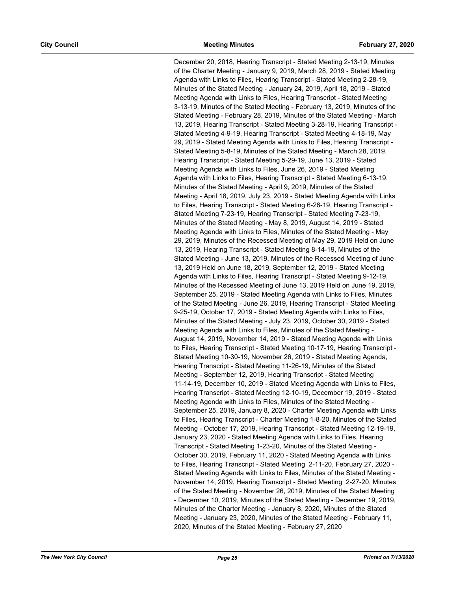December 20, 2018, Hearing Transcript - Stated Meeting 2-13-19, Minutes of the Charter Meeting - January 9, 2019, March 28, 2019 - Stated Meeting Agenda with Links to Files, Hearing Transcript - Stated Meeting 2-28-19, Minutes of the Stated Meeting - January 24, 2019, April 18, 2019 - Stated Meeting Agenda with Links to Files, Hearing Transcript - Stated Meeting 3-13-19, Minutes of the Stated Meeting - February 13, 2019, Minutes of the Stated Meeting - February 28, 2019, Minutes of the Stated Meeting - March 13, 2019, Hearing Transcript - Stated Meeting 3-28-19, Hearing Transcript - Stated Meeting 4-9-19, Hearing Transcript - Stated Meeting 4-18-19, May 29, 2019 - Stated Meeting Agenda with Links to Files, Hearing Transcript - Stated Meeting 5-8-19, Minutes of the Stated Meeting - March 28, 2019, Hearing Transcript - Stated Meeting 5-29-19, June 13, 2019 - Stated Meeting Agenda with Links to Files, June 26, 2019 - Stated Meeting Agenda with Links to Files, Hearing Transcript - Stated Meeting 6-13-19, Minutes of the Stated Meeting - April 9, 2019, Minutes of the Stated Meeting - April 18, 2019, July 23, 2019 - Stated Meeting Agenda with Links to Files, Hearing Transcript - Stated Meeting 6-26-19, Hearing Transcript - Stated Meeting 7-23-19, Hearing Transcript - Stated Meeting 7-23-19, Minutes of the Stated Meeting - May 8, 2019, August 14, 2019 - Stated Meeting Agenda with Links to Files, Minutes of the Stated Meeting - May 29, 2019, Minutes of the Recessed Meeting of May 29, 2019 Held on June 13, 2019, Hearing Transcript - Stated Meeting 8-14-19, Minutes of the Stated Meeting - June 13, 2019, Minutes of the Recessed Meeting of June 13, 2019 Held on June 18, 2019, September 12, 2019 - Stated Meeting Agenda with Links to Files, Hearing Transcript - Stated Meeting 9-12-19, Minutes of the Recessed Meeting of June 13, 2019 Held on June 19, 2019, September 25, 2019 - Stated Meeting Agenda with Links to Files, Minutes of the Stated Meeting - June 26, 2019, Hearing Transcript - Stated Meeting 9-25-19, October 17, 2019 - Stated Meeting Agenda with Links to Files, Minutes of the Stated Meeting - July 23, 2019, October 30, 2019 - Stated Meeting Agenda with Links to Files, Minutes of the Stated Meeting - August 14, 2019, November 14, 2019 - Stated Meeting Agenda with Links to Files, Hearing Transcript - Stated Meeting 10-17-19, Hearing Transcript - Stated Meeting 10-30-19, November 26, 2019 - Stated Meeting Agenda, Hearing Transcript - Stated Meeting 11-26-19, Minutes of the Stated Meeting - September 12, 2019, Hearing Transcript - Stated Meeting 11-14-19, December 10, 2019 - Stated Meeting Agenda with Links to Files, Hearing Transcript - Stated Meeting 12-10-19, December 19, 2019 - Stated Meeting Agenda with Links to Files, Minutes of the Stated Meeting - September 25, 2019, January 8, 2020 - Charter Meeting Agenda with Links to Files, Hearing Transcript - Charter Meeting 1-8-20, Minutes of the Stated Meeting - October 17, 2019, Hearing Transcript - Stated Meeting 12-19-19, January 23, 2020 - Stated Meeting Agenda with Links to Files, Hearing Transcript - Stated Meeting 1-23-20, Minutes of the Stated Meeting - October 30, 2019, February 11, 2020 - Stated Meeting Agenda with Links to Files, Hearing Transcript - Stated Meeting 2-11-20, February 27, 2020 - Stated Meeting Agenda with Links to Files, Minutes of the Stated Meeting - November 14, 2019, Hearing Transcript - Stated Meeting 2-27-20, Minutes of the Stated Meeting - November 26, 2019, Minutes of the Stated Meeting - December 10, 2019, Minutes of the Stated Meeting - December 19, 2019, Minutes of the Charter Meeting - January 8, 2020, Minutes of the Stated Meeting - January 23, 2020, Minutes of the Stated Meeting - February 11, 2020, Minutes of the Stated Meeting - February 27, 2020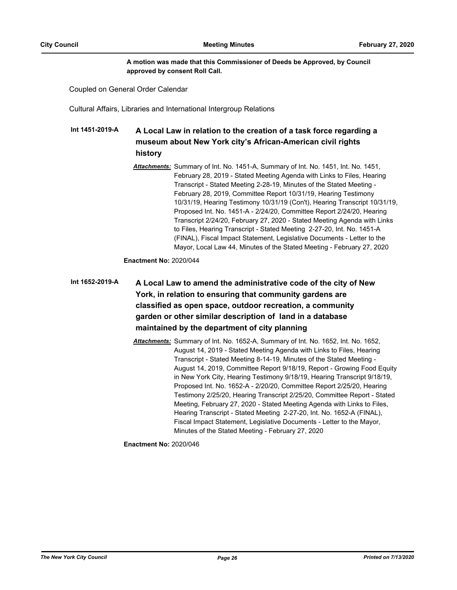## **A motion was made that this Commissioner of Deeds be Approved, by Council approved by consent Roll Call.**

Coupled on General Order Calendar

Cultural Affairs, Libraries and International Intergroup Relations

#### **A Local Law in relation to the creation of a task force regarding a museum about New York city's African-American civil rights history Int 1451-2019-A**

*Attachments:* Summary of Int. No. 1451-A, Summary of Int. No. 1451, Int. No. 1451, February 28, 2019 - Stated Meeting Agenda with Links to Files, Hearing Transcript - Stated Meeting 2-28-19, Minutes of the Stated Meeting - February 28, 2019, Committee Report 10/31/19, Hearing Testimony 10/31/19, Hearing Testimony 10/31/19 (Con't), Hearing Transcript 10/31/19, Proposed Int. No. 1451-A - 2/24/20, Committee Report 2/24/20, Hearing Transcript 2/24/20, February 27, 2020 - Stated Meeting Agenda with Links to Files, Hearing Transcript - Stated Meeting 2-27-20, Int. No. 1451-A (FINAL), Fiscal Impact Statement, Legislative Documents - Letter to the Mayor, Local Law 44, Minutes of the Stated Meeting - February 27, 2020

**Enactment No:** 2020/044

## **A Local Law to amend the administrative code of the city of New York, in relation to ensuring that community gardens are classified as open space, outdoor recreation, a community garden or other similar description of land in a database maintained by the department of city planning Int 1652-2019-A**

*Attachments:* Summary of Int. No. 1652-A, Summary of Int. No. 1652, Int. No. 1652, August 14, 2019 - Stated Meeting Agenda with Links to Files, Hearing Transcript - Stated Meeting 8-14-19, Minutes of the Stated Meeting - August 14, 2019, Committee Report 9/18/19, Report - Growing Food Equity in New York City, Hearing Testimony 9/18/19, Hearing Transcript 9/18/19, Proposed Int. No. 1652-A - 2/20/20, Committee Report 2/25/20, Hearing Testimony 2/25/20, Hearing Transcript 2/25/20, Committee Report - Stated Meeting, February 27, 2020 - Stated Meeting Agenda with Links to Files, Hearing Transcript - Stated Meeting 2-27-20, Int. No. 1652-A (FINAL), Fiscal Impact Statement, Legislative Documents - Letter to the Mayor, Minutes of the Stated Meeting - February 27, 2020

**Enactment No:** 2020/046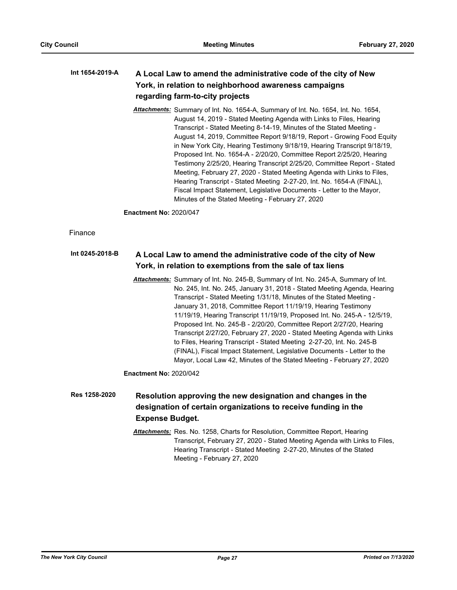#### **A Local Law to amend the administrative code of the city of New York, in relation to neighborhood awareness campaigns regarding farm-to-city projects Int 1654-2019-A**

*Attachments:* Summary of Int. No. 1654-A, Summary of Int. No. 1654, Int. No. 1654, August 14, 2019 - Stated Meeting Agenda with Links to Files, Hearing Transcript - Stated Meeting 8-14-19, Minutes of the Stated Meeting - August 14, 2019, Committee Report 9/18/19, Report - Growing Food Equity in New York City, Hearing Testimony 9/18/19, Hearing Transcript 9/18/19, Proposed Int. No. 1654-A - 2/20/20, Committee Report 2/25/20, Hearing Testimony 2/25/20, Hearing Transcript 2/25/20, Committee Report - Stated Meeting, February 27, 2020 - Stated Meeting Agenda with Links to Files, Hearing Transcript - Stated Meeting 2-27-20, Int. No. 1654-A (FINAL), Fiscal Impact Statement, Legislative Documents - Letter to the Mayor, Minutes of the Stated Meeting - February 27, 2020

**Enactment No:** 2020/047

### Finance

#### **A Local Law to amend the administrative code of the city of New York, in relation to exemptions from the sale of tax liens Int 0245-2018-B**

*Attachments:* Summary of Int. No. 245-B, Summary of Int. No. 245-A, Summary of Int. No. 245, Int. No. 245, January 31, 2018 - Stated Meeting Agenda, Hearing Transcript - Stated Meeting 1/31/18, Minutes of the Stated Meeting - January 31, 2018, Committee Report 11/19/19, Hearing Testimony 11/19/19, Hearing Transcript 11/19/19, Proposed Int. No. 245-A - 12/5/19, Proposed Int. No. 245-B - 2/20/20, Committee Report 2/27/20, Hearing Transcript 2/27/20, February 27, 2020 - Stated Meeting Agenda with Links to Files, Hearing Transcript - Stated Meeting 2-27-20, Int. No. 245-B (FINAL), Fiscal Impact Statement, Legislative Documents - Letter to the Mayor, Local Law 42, Minutes of the Stated Meeting - February 27, 2020

**Enactment No:** 2020/042

**Resolution approving the new designation and changes in the designation of certain organizations to receive funding in the Expense Budget. Res 1258-2020**

> *Attachments:* Res. No. 1258, Charts for Resolution, Committee Report, Hearing Transcript, February 27, 2020 - Stated Meeting Agenda with Links to Files, Hearing Transcript - Stated Meeting 2-27-20, Minutes of the Stated Meeting - February 27, 2020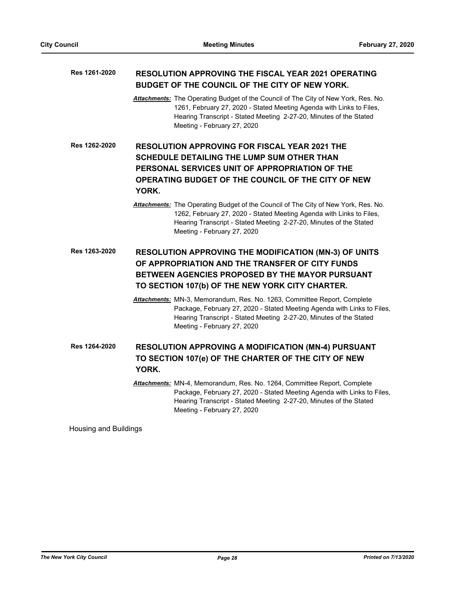| Res 1261-2020 | <b>RESOLUTION APPROVING THE FISCAL YEAR 2021 OPERATING</b><br>BUDGET OF THE COUNCIL OF THE CITY OF NEW YORK.                                                                                                                                                    |  |  |  |
|---------------|-----------------------------------------------------------------------------------------------------------------------------------------------------------------------------------------------------------------------------------------------------------------|--|--|--|
|               | Attachments: The Operating Budget of the Council of The City of New York, Res. No.<br>1261, February 27, 2020 - Stated Meeting Agenda with Links to Files,<br>Hearing Transcript - Stated Meeting 2-27-20, Minutes of the Stated<br>Meeting - February 27, 2020 |  |  |  |
| Res 1262-2020 | <b>RESOLUTION APPROVING FOR FISCAL YEAR 2021 THE</b><br><b>SCHEDULE DETAILING THE LUMP SUM OTHER THAN</b><br>PERSONAL SERVICES UNIT OF APPROPRIATION OF THE<br>OPERATING BUDGET OF THE COUNCIL OF THE CITY OF NEW<br>YORK.                                      |  |  |  |
|               | Attachments: The Operating Budget of the Council of The City of New York, Res. No.<br>1262, February 27, 2020 - Stated Meeting Agenda with Links to Files,<br>Hearing Transcript - Stated Meeting 2-27-20, Minutes of the Stated<br>Meeting - February 27, 2020 |  |  |  |
| Res 1263-2020 | <b>RESOLUTION APPROVING THE MODIFICATION (MN-3) OF UNITS</b><br>OF APPROPRIATION AND THE TRANSFER OF CITY FUNDS<br><b>BETWEEN AGENCIES PROPOSED BY THE MAYOR PURSUANT</b><br>TO SECTION 107(b) OF THE NEW YORK CITY CHARTER.                                    |  |  |  |
|               | Attachments: MN-3, Memorandum, Res. No. 1263, Committee Report, Complete<br>Package, February 27, 2020 - Stated Meeting Agenda with Links to Files,<br>Hearing Transcript - Stated Meeting 2-27-20, Minutes of the Stated<br>Meeting - February 27, 2020        |  |  |  |
| Res 1264-2020 | <b>RESOLUTION APPROVING A MODIFICATION (MN-4) PURSUANT</b><br>TO SECTION 107(e) OF THE CHARTER OF THE CITY OF NEW                                                                                                                                               |  |  |  |
|               | YORK.                                                                                                                                                                                                                                                           |  |  |  |
|               | Attachments: MN-4, Memorandum, Res. No. 1264, Committee Report, Complete<br>Package, February 27, 2020 - Stated Meeting Agenda with Links to Files,<br>Hearing Transcript - Stated Meeting 2-27-20, Minutes of the Stated<br>Meeting - February 27, 2020        |  |  |  |
|               |                                                                                                                                                                                                                                                                 |  |  |  |

Housing and Buildings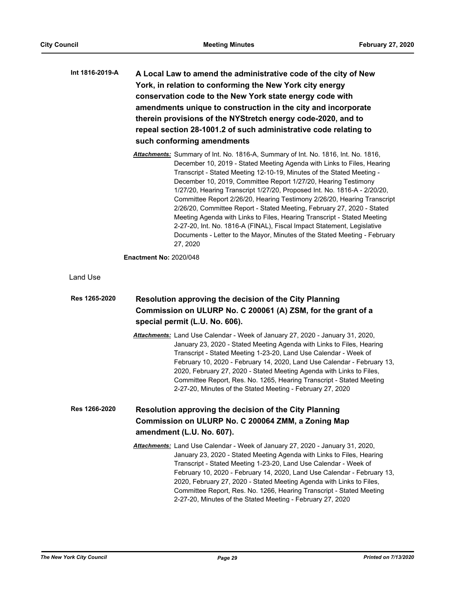| Int 1816-2019-A | A Local Law to amend the administrative code of the city of New  |  |  |  |
|-----------------|------------------------------------------------------------------|--|--|--|
|                 | York, in relation to conforming the New York city energy         |  |  |  |
|                 | conservation code to the New York state energy code with         |  |  |  |
|                 | amendments unique to construction in the city and incorporate    |  |  |  |
|                 | therein provisions of the NYStretch energy code-2020, and to     |  |  |  |
|                 | repeal section 28-1001.2 of such administrative code relating to |  |  |  |
|                 | such conforming amendments                                       |  |  |  |

*Attachments:* Summary of Int. No. 1816-A, Summary of Int. No. 1816, Int. No. 1816, December 10, 2019 - Stated Meeting Agenda with Links to Files, Hearing Transcript - Stated Meeting 12-10-19, Minutes of the Stated Meeting - December 10, 2019, Committee Report 1/27/20, Hearing Testimony 1/27/20, Hearing Transcript 1/27/20, Proposed Int. No. 1816-A - 2/20/20, Committee Report 2/26/20, Hearing Testimony 2/26/20, Hearing Transcript 2/26/20, Committee Report - Stated Meeting, February 27, 2020 - Stated Meeting Agenda with Links to Files, Hearing Transcript - Stated Meeting 2-27-20, Int. No. 1816-A (FINAL), Fiscal Impact Statement, Legislative Documents - Letter to the Mayor, Minutes of the Stated Meeting - February 27, 2020

## **Enactment No:** 2020/048

Land Use

| Res 1265-2020 | Resolution approving the decision of the City Planning<br>Commission on ULURP No. C 200061 (A) ZSM, for the grant of a<br>special permit (L.U. No. 606).                                                                                                                                                                                                                                                                                                                                                            |  |  |  |
|---------------|---------------------------------------------------------------------------------------------------------------------------------------------------------------------------------------------------------------------------------------------------------------------------------------------------------------------------------------------------------------------------------------------------------------------------------------------------------------------------------------------------------------------|--|--|--|
|               | Attachments: Land Use Calendar - Week of January 27, 2020 - January 31, 2020,<br>January 23, 2020 - Stated Meeting Agenda with Links to Files, Hearing<br>Transcript - Stated Meeting 1-23-20, Land Use Calendar - Week of<br>February 10, 2020 - February 14, 2020, Land Use Calendar - February 13,<br>2020, February 27, 2020 - Stated Meeting Agenda with Links to Files,<br>Committee Report, Res. No. 1265, Hearing Transcript - Stated Meeting<br>2-27-20, Minutes of the Stated Meeting - February 27, 2020 |  |  |  |
| Res 1266-2020 | <b>Resolution approving the decision of the City Planning</b><br>Commission on ULURP No. C 200064 ZMM, a Zoning Map<br>amendment (L.U. No. 607).                                                                                                                                                                                                                                                                                                                                                                    |  |  |  |
|               | Attachments: Land Use Calendar - Week of January 27, 2020 - January 31, 2020,<br>January 23, 2020 - Stated Meeting Agenda with Links to Files, Hearing<br>Transcript - Stated Meeting 1-23-20, Land Use Calendar - Week of<br>February 10, 2020 - February 14, 2020, Land Use Calendar - February 13,<br>2020, February 27, 2020 - Stated Meeting Agenda with Links to Files,<br>Committee Report, Res. No. 1266, Hearing Transcript - Stated Meeting<br>2-27-20, Minutes of the Stated Meeting - February 27, 2020 |  |  |  |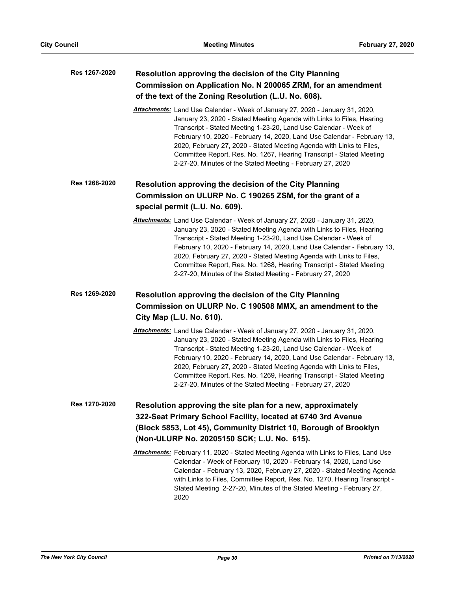| Res 1267-2020        | Resolution approving the decision of the City Planning<br>Commission on Application No. N 200065 ZRM, for an amendment<br>of the text of the Zoning Resolution (L.U. No. 608).                                                                                                                                                                                                                                                                                                                                      |  |  |  |
|----------------------|---------------------------------------------------------------------------------------------------------------------------------------------------------------------------------------------------------------------------------------------------------------------------------------------------------------------------------------------------------------------------------------------------------------------------------------------------------------------------------------------------------------------|--|--|--|
|                      |                                                                                                                                                                                                                                                                                                                                                                                                                                                                                                                     |  |  |  |
|                      | Attachments: Land Use Calendar - Week of January 27, 2020 - January 31, 2020,<br>January 23, 2020 - Stated Meeting Agenda with Links to Files, Hearing<br>Transcript - Stated Meeting 1-23-20, Land Use Calendar - Week of<br>February 10, 2020 - February 14, 2020, Land Use Calendar - February 13,<br>2020, February 27, 2020 - Stated Meeting Agenda with Links to Files,<br>Committee Report, Res. No. 1267, Hearing Transcript - Stated Meeting<br>2-27-20, Minutes of the Stated Meeting - February 27, 2020 |  |  |  |
| Res 1268-2020        | Resolution approving the decision of the City Planning                                                                                                                                                                                                                                                                                                                                                                                                                                                              |  |  |  |
|                      | Commission on ULURP No. C 190265 ZSM, for the grant of a                                                                                                                                                                                                                                                                                                                                                                                                                                                            |  |  |  |
|                      | special permit (L.U. No. 609).                                                                                                                                                                                                                                                                                                                                                                                                                                                                                      |  |  |  |
|                      | Attachments: Land Use Calendar - Week of January 27, 2020 - January 31, 2020,<br>January 23, 2020 - Stated Meeting Agenda with Links to Files, Hearing<br>Transcript - Stated Meeting 1-23-20, Land Use Calendar - Week of<br>February 10, 2020 - February 14, 2020, Land Use Calendar - February 13,<br>2020, February 27, 2020 - Stated Meeting Agenda with Links to Files,<br>Committee Report, Res. No. 1268, Hearing Transcript - Stated Meeting<br>2-27-20, Minutes of the Stated Meeting - February 27, 2020 |  |  |  |
| Res 1269-2020        | <b>Resolution approving the decision of the City Planning</b>                                                                                                                                                                                                                                                                                                                                                                                                                                                       |  |  |  |
|                      | Commission on ULURP No. C 190508 MMX, an amendment to the                                                                                                                                                                                                                                                                                                                                                                                                                                                           |  |  |  |
|                      | City Map (L.U. No. 610).                                                                                                                                                                                                                                                                                                                                                                                                                                                                                            |  |  |  |
|                      | Attachments: Land Use Calendar - Week of January 27, 2020 - January 31, 2020,<br>January 23, 2020 - Stated Meeting Agenda with Links to Files, Hearing<br>Transcript - Stated Meeting 1-23-20, Land Use Calendar - Week of<br>February 10, 2020 - February 14, 2020, Land Use Calendar - February 13,<br>2020, February 27, 2020 - Stated Meeting Agenda with Links to Files,<br>Committee Report, Res. No. 1269, Hearing Transcript - Stated Meeting<br>2-27-20, Minutes of the Stated Meeting - February 27, 2020 |  |  |  |
| <b>Res 1270-2020</b> | Resolution approving the site plan for a new, approximately                                                                                                                                                                                                                                                                                                                                                                                                                                                         |  |  |  |
|                      | 322-Seat Primary School Facility, located at 6740 3rd Avenue                                                                                                                                                                                                                                                                                                                                                                                                                                                        |  |  |  |
|                      | (Block 5853, Lot 45), Community District 10, Borough of Brooklyn                                                                                                                                                                                                                                                                                                                                                                                                                                                    |  |  |  |
|                      | (Non-ULURP No. 20205150 SCK; L.U. No. 615).                                                                                                                                                                                                                                                                                                                                                                                                                                                                         |  |  |  |
|                      | <b>Attachments:</b> February 11, 2020 - Stated Meeting Agenda with Links to Files, Land Use<br>Calendar - Week of February 10, 2020 - February 14, 2020, Land Use<br>Calendar - February 13, 2020, February 27, 2020 - Stated Meeting Agenda<br>with Links to Files, Committee Report, Res. No. 1270, Hearing Transcript -<br>Stated Meeting 2-27-20, Minutes of the Stated Meeting - February 27,<br>2020                                                                                                          |  |  |  |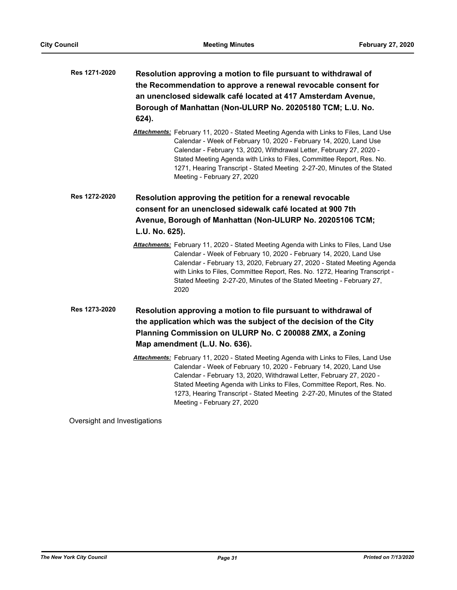- **Resolution approving a motion to file pursuant to withdrawal of the Recommendation to approve a renewal revocable consent for an unenclosed sidewalk café located at 417 Amsterdam Avenue, Borough of Manhattan (Non-ULURP No. 20205180 TCM; L.U. No. 624). Res 1271-2020**
	- *Attachments:* February 11, 2020 Stated Meeting Agenda with Links to Files, Land Use Calendar - Week of February 10, 2020 - February 14, 2020, Land Use Calendar - February 13, 2020, Withdrawal Letter, February 27, 2020 - Stated Meeting Agenda with Links to Files, Committee Report, Res. No. 1271, Hearing Transcript - Stated Meeting 2-27-20, Minutes of the Stated Meeting - February 27, 2020

**Resolution approving the petition for a renewal revocable consent for an unenclosed sidewalk café located at 900 7th Avenue, Borough of Manhattan (Non-ULURP No. 20205106 TCM; L.U. No. 625). Res 1272-2020**

- *Attachments:* February 11, 2020 Stated Meeting Agenda with Links to Files, Land Use Calendar - Week of February 10, 2020 - February 14, 2020, Land Use Calendar - February 13, 2020, February 27, 2020 - Stated Meeting Agenda with Links to Files, Committee Report, Res. No. 1272, Hearing Transcript - Stated Meeting 2-27-20, Minutes of the Stated Meeting - February 27, 2020
- **Resolution approving a motion to file pursuant to withdrawal of the application which was the subject of the decision of the City Planning Commission on ULURP No. C 200088 ZMX, a Zoning Map amendment (L.U. No. 636). Res 1273-2020**
	- *Attachments:* February 11, 2020 Stated Meeting Agenda with Links to Files, Land Use Calendar - Week of February 10, 2020 - February 14, 2020, Land Use Calendar - February 13, 2020, Withdrawal Letter, February 27, 2020 - Stated Meeting Agenda with Links to Files, Committee Report, Res. No. 1273, Hearing Transcript - Stated Meeting 2-27-20, Minutes of the Stated Meeting - February 27, 2020

Oversight and Investigations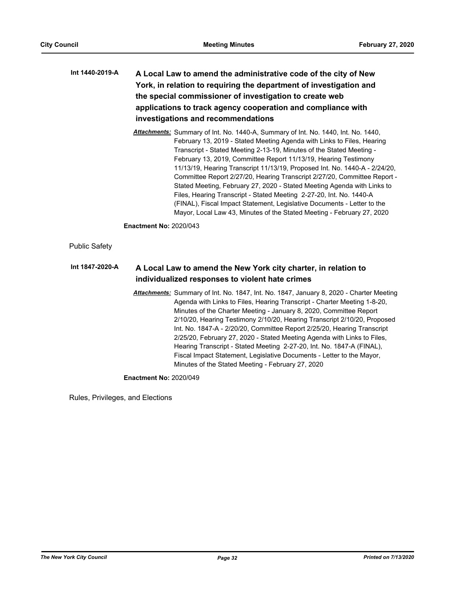## **A Local Law to amend the administrative code of the city of New York, in relation to requiring the department of investigation and the special commissioner of investigation to create web applications to track agency cooperation and compliance with investigations and recommendations Int 1440-2019-A**

*Attachments:* Summary of Int. No. 1440-A, Summary of Int. No. 1440, Int. No. 1440, February 13, 2019 - Stated Meeting Agenda with Links to Files, Hearing Transcript - Stated Meeting 2-13-19, Minutes of the Stated Meeting - February 13, 2019, Committee Report 11/13/19, Hearing Testimony 11/13/19, Hearing Transcript 11/13/19, Proposed Int. No. 1440-A - 2/24/20, Committee Report 2/27/20, Hearing Transcript 2/27/20, Committee Report - Stated Meeting, February 27, 2020 - Stated Meeting Agenda with Links to Files, Hearing Transcript - Stated Meeting 2-27-20, Int. No. 1440-A (FINAL), Fiscal Impact Statement, Legislative Documents - Letter to the Mayor, Local Law 43, Minutes of the Stated Meeting - February 27, 2020

**Enactment No:** 2020/043

Public Safety

#### **A Local Law to amend the New York city charter, in relation to individualized responses to violent hate crimes Int 1847-2020-A**

*Attachments:* Summary of Int. No. 1847, Int. No. 1847, January 8, 2020 - Charter Meeting Agenda with Links to Files, Hearing Transcript - Charter Meeting 1-8-20, Minutes of the Charter Meeting - January 8, 2020, Committee Report 2/10/20, Hearing Testimony 2/10/20, Hearing Transcript 2/10/20, Proposed Int. No. 1847-A - 2/20/20, Committee Report 2/25/20, Hearing Transcript 2/25/20, February 27, 2020 - Stated Meeting Agenda with Links to Files, Hearing Transcript - Stated Meeting 2-27-20, Int. No. 1847-A (FINAL), Fiscal Impact Statement, Legislative Documents - Letter to the Mayor, Minutes of the Stated Meeting - February 27, 2020

**Enactment No:** 2020/049

Rules, Privileges, and Elections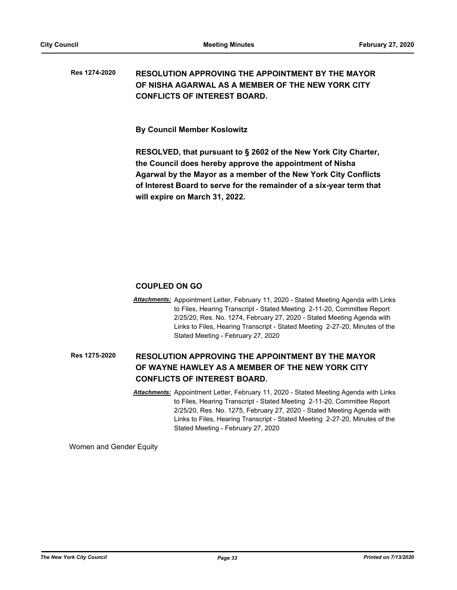#### **RESOLUTION APPROVING THE APPOINTMENT BY THE MAYOR OF NISHA AGARWAL AS A MEMBER OF THE NEW YORK CITY CONFLICTS OF INTEREST BOARD. Res 1274-2020**

**By Council Member Koslowitz**

**RESOLVED, that pursuant to § 2602 of the New York City Charter, the Council does hereby approve the appointment of Nisha Agarwal by the Mayor as a member of the New York City Conflicts of Interest Board to serve for the remainder of a six-year term that will expire on March 31, 2022.**

## **COUPLED ON GO**

*Attachments:* Appointment Letter, February 11, 2020 - Stated Meeting Agenda with Links to Files, Hearing Transcript - Stated Meeting 2-11-20, Committee Report 2/25/20, Res. No. 1274, February 27, 2020 - Stated Meeting Agenda with Links to Files, Hearing Transcript - Stated Meeting 2-27-20, Minutes of the Stated Meeting - February 27, 2020

### **RESOLUTION APPROVING THE APPOINTMENT BY THE MAYOR OF WAYNE HAWLEY AS A MEMBER OF THE NEW YORK CITY CONFLICTS OF INTEREST BOARD. Res 1275-2020**

*Attachments:* Appointment Letter, February 11, 2020 - Stated Meeting Agenda with Links to Files, Hearing Transcript - Stated Meeting 2-11-20, Committee Report 2/25/20, Res. No. 1275, February 27, 2020 - Stated Meeting Agenda with Links to Files, Hearing Transcript - Stated Meeting 2-27-20, Minutes of the Stated Meeting - February 27, 2020

Women and Gender Equity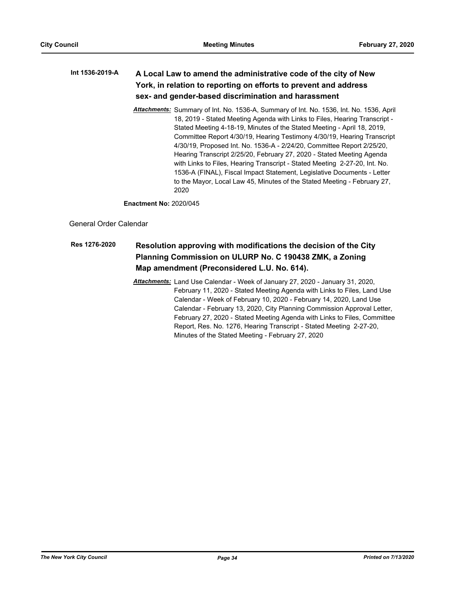### **A Local Law to amend the administrative code of the city of New York, in relation to reporting on efforts to prevent and address sex- and gender-based discrimination and harassment Int 1536-2019-A**

*Attachments:* Summary of Int. No. 1536-A, Summary of Int. No. 1536, Int. No. 1536, April 18, 2019 - Stated Meeting Agenda with Links to Files, Hearing Transcript - Stated Meeting 4-18-19, Minutes of the Stated Meeting - April 18, 2019, Committee Report 4/30/19, Hearing Testimony 4/30/19, Hearing Transcript 4/30/19, Proposed Int. No. 1536-A - 2/24/20, Committee Report 2/25/20, Hearing Transcript 2/25/20, February 27, 2020 - Stated Meeting Agenda with Links to Files, Hearing Transcript - Stated Meeting 2-27-20, Int. No. 1536-A (FINAL), Fiscal Impact Statement, Legislative Documents - Letter to the Mayor, Local Law 45, Minutes of the Stated Meeting - February 27, 2020

**Enactment No:** 2020/045

General Order Calendar

#### **Resolution approving with modifications the decision of the City Planning Commission on ULURP No. C 190438 ZMK, a Zoning Map amendment (Preconsidered L.U. No. 614). Res 1276-2020**

*Attachments:* Land Use Calendar - Week of January 27, 2020 - January 31, 2020, February 11, 2020 - Stated Meeting Agenda with Links to Files, Land Use Calendar - Week of February 10, 2020 - February 14, 2020, Land Use Calendar - February 13, 2020, City Planning Commission Approval Letter, February 27, 2020 - Stated Meeting Agenda with Links to Files, Committee Report, Res. No. 1276, Hearing Transcript - Stated Meeting 2-27-20, Minutes of the Stated Meeting - February 27, 2020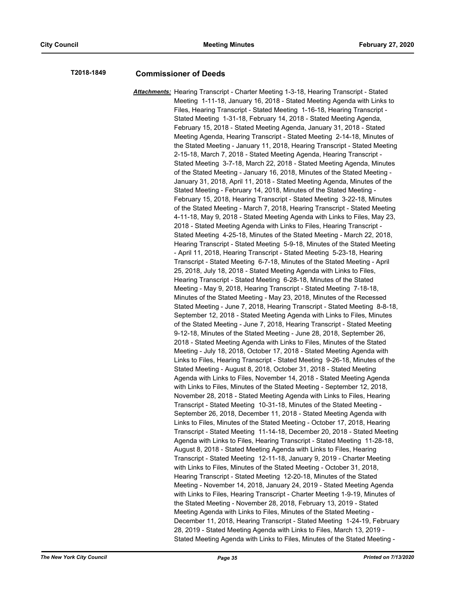## **T2018-1849 Commissioner of Deeds**

*Attachments:* Hearing Transcript - Charter Meeting 1-3-18, Hearing Transcript - Stated Meeting 1-11-18, January 16, 2018 - Stated Meeting Agenda with Links to Files, Hearing Transcript - Stated Meeting 1-16-18, Hearing Transcript - Stated Meeting 1-31-18, February 14, 2018 - Stated Meeting Agenda, February 15, 2018 - Stated Meeting Agenda, January 31, 2018 - Stated Meeting Agenda, Hearing Transcript - Stated Meeting 2-14-18, Minutes of the Stated Meeting - January 11, 2018, Hearing Transcript - Stated Meeting 2-15-18, March 7, 2018 - Stated Meeting Agenda, Hearing Transcript - Stated Meeting 3-7-18, March 22, 2018 - Stated Meeting Agenda, Minutes of the Stated Meeting - January 16, 2018, Minutes of the Stated Meeting - January 31, 2018, April 11, 2018 - Stated Meeting Agenda, Minutes of the Stated Meeting - February 14, 2018, Minutes of the Stated Meeting - February 15, 2018, Hearing Transcript - Stated Meeting 3-22-18, Minutes of the Stated Meeting - March 7, 2018, Hearing Transcript - Stated Meeting 4-11-18, May 9, 2018 - Stated Meeting Agenda with Links to Files, May 23, 2018 - Stated Meeting Agenda with Links to Files, Hearing Transcript - Stated Meeting 4-25-18, Minutes of the Stated Meeting - March 22, 2018, Hearing Transcript - Stated Meeting 5-9-18, Minutes of the Stated Meeting - April 11, 2018, Hearing Transcript - Stated Meeting 5-23-18, Hearing Transcript - Stated Meeting 6-7-18, Minutes of the Stated Meeting - April 25, 2018, July 18, 2018 - Stated Meeting Agenda with Links to Files, Hearing Transcript - Stated Meeting 6-28-18, Minutes of the Stated Meeting - May 9, 2018, Hearing Transcript - Stated Meeting 7-18-18, Minutes of the Stated Meeting - May 23, 2018, Minutes of the Recessed Stated Meeting - June 7, 2018, Hearing Transcript - Stated Meeting 8-8-18, September 12, 2018 - Stated Meeting Agenda with Links to Files, Minutes of the Stated Meeting - June 7, 2018, Hearing Transcript - Stated Meeting 9-12-18, Minutes of the Stated Meeting - June 28, 2018, September 26, 2018 - Stated Meeting Agenda with Links to Files, Minutes of the Stated Meeting - July 18, 2018, October 17, 2018 - Stated Meeting Agenda with Links to Files, Hearing Transcript - Stated Meeting 9-26-18, Minutes of the Stated Meeting - August 8, 2018, October 31, 2018 - Stated Meeting Agenda with Links to Files, November 14, 2018 - Stated Meeting Agenda with Links to Files, Minutes of the Stated Meeting - September 12, 2018, November 28, 2018 - Stated Meeting Agenda with Links to Files, Hearing Transcript - Stated Meeting 10-31-18, Minutes of the Stated Meeting - September 26, 2018, December 11, 2018 - Stated Meeting Agenda with Links to Files, Minutes of the Stated Meeting - October 17, 2018, Hearing Transcript - Stated Meeting 11-14-18, December 20, 2018 - Stated Meeting Agenda with Links to Files, Hearing Transcript - Stated Meeting 11-28-18, August 8, 2018 - Stated Meeting Agenda with Links to Files, Hearing Transcript - Stated Meeting 12-11-18, January 9, 2019 - Charter Meeting with Links to Files, Minutes of the Stated Meeting - October 31, 2018, Hearing Transcript - Stated Meeting 12-20-18, Minutes of the Stated Meeting - November 14, 2018, January 24, 2019 - Stated Meeting Agenda with Links to Files, Hearing Transcript - Charter Meeting 1-9-19, Minutes of the Stated Meeting - November 28, 2018, February 13, 2019 - Stated Meeting Agenda with Links to Files, Minutes of the Stated Meeting - December 11, 2018, Hearing Transcript - Stated Meeting 1-24-19, February 28, 2019 - Stated Meeting Agenda with Links to Files, March 13, 2019 - Stated Meeting Agenda with Links to Files, Minutes of the Stated Meeting -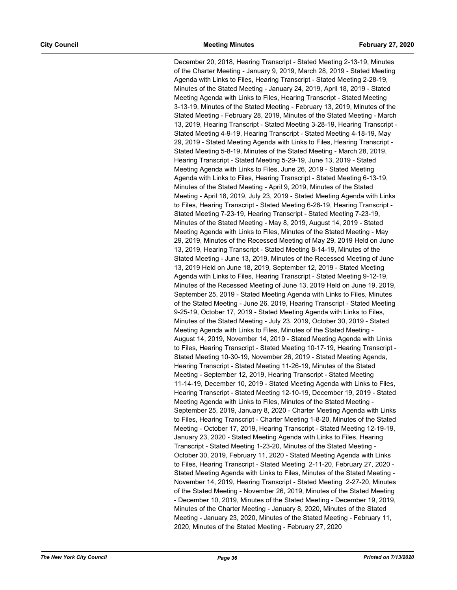December 20, 2018, Hearing Transcript - Stated Meeting 2-13-19, Minutes of the Charter Meeting - January 9, 2019, March 28, 2019 - Stated Meeting Agenda with Links to Files, Hearing Transcript - Stated Meeting 2-28-19, Minutes of the Stated Meeting - January 24, 2019, April 18, 2019 - Stated Meeting Agenda with Links to Files, Hearing Transcript - Stated Meeting 3-13-19, Minutes of the Stated Meeting - February 13, 2019, Minutes of the Stated Meeting - February 28, 2019, Minutes of the Stated Meeting - March 13, 2019, Hearing Transcript - Stated Meeting 3-28-19, Hearing Transcript - Stated Meeting 4-9-19, Hearing Transcript - Stated Meeting 4-18-19, May 29, 2019 - Stated Meeting Agenda with Links to Files, Hearing Transcript - Stated Meeting 5-8-19, Minutes of the Stated Meeting - March 28, 2019, Hearing Transcript - Stated Meeting 5-29-19, June 13, 2019 - Stated Meeting Agenda with Links to Files, June 26, 2019 - Stated Meeting Agenda with Links to Files, Hearing Transcript - Stated Meeting 6-13-19, Minutes of the Stated Meeting - April 9, 2019, Minutes of the Stated Meeting - April 18, 2019, July 23, 2019 - Stated Meeting Agenda with Links to Files, Hearing Transcript - Stated Meeting 6-26-19, Hearing Transcript - Stated Meeting 7-23-19, Hearing Transcript - Stated Meeting 7-23-19, Minutes of the Stated Meeting - May 8, 2019, August 14, 2019 - Stated Meeting Agenda with Links to Files, Minutes of the Stated Meeting - May 29, 2019, Minutes of the Recessed Meeting of May 29, 2019 Held on June 13, 2019, Hearing Transcript - Stated Meeting 8-14-19, Minutes of the Stated Meeting - June 13, 2019, Minutes of the Recessed Meeting of June 13, 2019 Held on June 18, 2019, September 12, 2019 - Stated Meeting Agenda with Links to Files, Hearing Transcript - Stated Meeting 9-12-19, Minutes of the Recessed Meeting of June 13, 2019 Held on June 19, 2019, September 25, 2019 - Stated Meeting Agenda with Links to Files, Minutes of the Stated Meeting - June 26, 2019, Hearing Transcript - Stated Meeting 9-25-19, October 17, 2019 - Stated Meeting Agenda with Links to Files, Minutes of the Stated Meeting - July 23, 2019, October 30, 2019 - Stated Meeting Agenda with Links to Files, Minutes of the Stated Meeting - August 14, 2019, November 14, 2019 - Stated Meeting Agenda with Links to Files, Hearing Transcript - Stated Meeting 10-17-19, Hearing Transcript - Stated Meeting 10-30-19, November 26, 2019 - Stated Meeting Agenda, Hearing Transcript - Stated Meeting 11-26-19, Minutes of the Stated Meeting - September 12, 2019, Hearing Transcript - Stated Meeting 11-14-19, December 10, 2019 - Stated Meeting Agenda with Links to Files, Hearing Transcript - Stated Meeting 12-10-19, December 19, 2019 - Stated Meeting Agenda with Links to Files, Minutes of the Stated Meeting - September 25, 2019, January 8, 2020 - Charter Meeting Agenda with Links to Files, Hearing Transcript - Charter Meeting 1-8-20, Minutes of the Stated Meeting - October 17, 2019, Hearing Transcript - Stated Meeting 12-19-19, January 23, 2020 - Stated Meeting Agenda with Links to Files, Hearing Transcript - Stated Meeting 1-23-20, Minutes of the Stated Meeting - October 30, 2019, February 11, 2020 - Stated Meeting Agenda with Links to Files, Hearing Transcript - Stated Meeting 2-11-20, February 27, 2020 - Stated Meeting Agenda with Links to Files, Minutes of the Stated Meeting - November 14, 2019, Hearing Transcript - Stated Meeting 2-27-20, Minutes of the Stated Meeting - November 26, 2019, Minutes of the Stated Meeting - December 10, 2019, Minutes of the Stated Meeting - December 19, 2019, Minutes of the Charter Meeting - January 8, 2020, Minutes of the Stated Meeting - January 23, 2020, Minutes of the Stated Meeting - February 11, 2020, Minutes of the Stated Meeting - February 27, 2020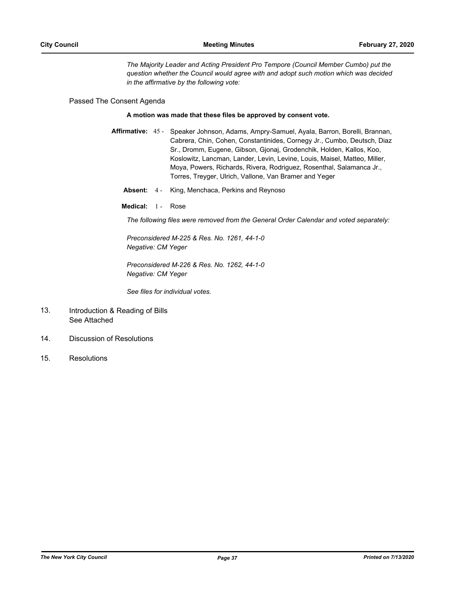*The Majority Leader and Acting President Pro Tempore (Council Member Cumbo) put the question whether the Council would agree with and adopt such motion which was decided in the affirmative by the following vote:*

## Passed The Consent Agenda

#### **A motion was made that these files be approved by consent vote.**

- Affirmative: 45 Speaker Johnson, Adams, Ampry-Samuel, Ayala, Barron, Borelli, Brannan, Cabrera, Chin, Cohen, Constantinides, Cornegy Jr., Cumbo, Deutsch, Diaz Sr., Dromm, Eugene, Gibson, Gjonaj, Grodenchik, Holden, Kallos, Koo, Koslowitz, Lancman, Lander, Levin, Levine, Louis, Maisel, Matteo, Miller, Moya, Powers, Richards, Rivera, Rodriguez, Rosenthal, Salamanca Jr., Torres, Treyger, Ulrich, Vallone, Van Bramer and Yeger
	- **Absent:** 4 King, Menchaca, Perkins and Reynoso
	- Medical: 1 Rose

*The following files were removed from the General Order Calendar and voted separately:*

*Preconsidered M-225 & Res. No. 1261, 44-1-0 Negative: CM Yeger*

*Preconsidered M-226 & Res. No. 1262, 44-1-0 Negative: CM Yeger*

*See files for individual votes.*

- Introduction & Reading of Bills See Attached 13.
- 14. Discussion of Resolutions
- 15. Resolutions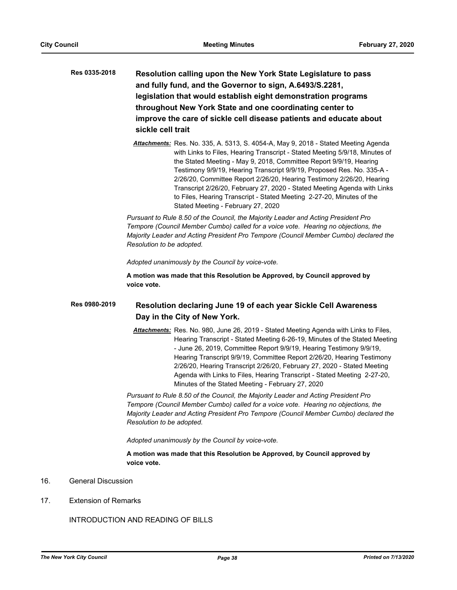- **Resolution calling upon the New York State Legislature to pass and fully fund, and the Governor to sign, A.6493/S.2281, legislation that would establish eight demonstration programs throughout New York State and one coordinating center to improve the care of sickle cell disease patients and educate about sickle cell trait Res 0335-2018**
	- *Attachments:* Res. No. 335, A. 5313, S. 4054-A, May 9, 2018 Stated Meeting Agenda with Links to Files, Hearing Transcript - Stated Meeting 5/9/18, Minutes of the Stated Meeting - May 9, 2018, Committee Report 9/9/19, Hearing Testimony 9/9/19, Hearing Transcript 9/9/19, Proposed Res. No. 335-A - 2/26/20, Committee Report 2/26/20, Hearing Testimony 2/26/20, Hearing Transcript 2/26/20, February 27, 2020 - Stated Meeting Agenda with Links to Files, Hearing Transcript - Stated Meeting 2-27-20, Minutes of the Stated Meeting - February 27, 2020

*Pursuant to Rule 8.50 of the Council, the Majority Leader and Acting President Pro Tempore (Council Member Cumbo) called for a voice vote. Hearing no objections, the Majority Leader and Acting President Pro Tempore (Council Member Cumbo) declared the Resolution to be adopted.*

*Adopted unanimously by the Council by voice-vote.*

**A motion was made that this Resolution be Approved, by Council approved by voice vote.**

#### **Resolution declaring June 19 of each year Sickle Cell Awareness Day in the City of New York. Res 0980-2019**

*Attachments:* Res. No. 980, June 26, 2019 - Stated Meeting Agenda with Links to Files, Hearing Transcript - Stated Meeting 6-26-19, Minutes of the Stated Meeting - June 26, 2019, Committee Report 9/9/19, Hearing Testimony 9/9/19, Hearing Transcript 9/9/19, Committee Report 2/26/20, Hearing Testimony 2/26/20, Hearing Transcript 2/26/20, February 27, 2020 - Stated Meeting Agenda with Links to Files, Hearing Transcript - Stated Meeting 2-27-20, Minutes of the Stated Meeting - February 27, 2020

*Pursuant to Rule 8.50 of the Council, the Majority Leader and Acting President Pro Tempore (Council Member Cumbo) called for a voice vote. Hearing no objections, the Majority Leader and Acting President Pro Tempore (Council Member Cumbo) declared the Resolution to be adopted.*

*Adopted unanimously by the Council by voice-vote.*

**A motion was made that this Resolution be Approved, by Council approved by voice vote.**

- 16. General Discussion
- 17. Extension of Remarks

INTRODUCTION AND READING OF BILLS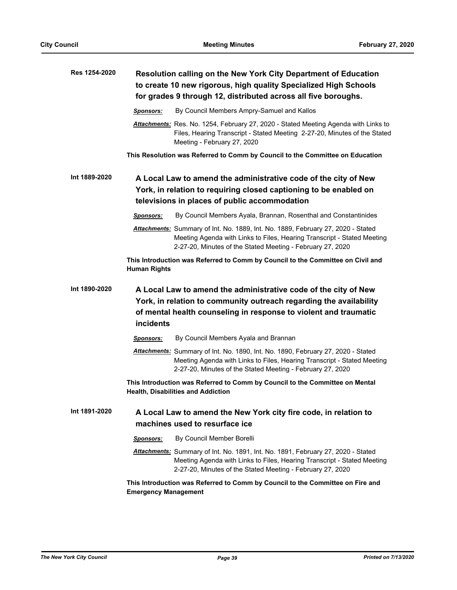| Res 1254-2020 | Resolution calling on the New York City Department of Education<br>to create 10 new rigorous, high quality Specialized High Schools<br>for grades 9 through 12, distributed across all five boroughs.                     |  |  |  |
|---------------|---------------------------------------------------------------------------------------------------------------------------------------------------------------------------------------------------------------------------|--|--|--|
|               | By Council Members Ampry-Samuel and Kallos<br><b>Sponsors:</b>                                                                                                                                                            |  |  |  |
|               | Attachments: Res. No. 1254, February 27, 2020 - Stated Meeting Agenda with Links to<br>Files, Hearing Transcript - Stated Meeting 2-27-20, Minutes of the Stated<br>Meeting - February 27, 2020                           |  |  |  |
|               | This Resolution was Referred to Comm by Council to the Committee on Education                                                                                                                                             |  |  |  |
| Int 1889-2020 | A Local Law to amend the administrative code of the city of New                                                                                                                                                           |  |  |  |
|               | York, in relation to requiring closed captioning to be enabled on                                                                                                                                                         |  |  |  |
|               | televisions in places of public accommodation                                                                                                                                                                             |  |  |  |
|               | By Council Members Ayala, Brannan, Rosenthal and Constantinides<br><b>Sponsors:</b>                                                                                                                                       |  |  |  |
|               | Attachments: Summary of Int. No. 1889, Int. No. 1889, February 27, 2020 - Stated<br>Meeting Agenda with Links to Files, Hearing Transcript - Stated Meeting<br>2-27-20, Minutes of the Stated Meeting - February 27, 2020 |  |  |  |
|               | This Introduction was Referred to Comm by Council to the Committee on Civil and<br><b>Human Rights</b>                                                                                                                    |  |  |  |
| Int 1890-2020 | A Local Law to amend the administrative code of the city of New<br>York, in relation to community outreach regarding the availability<br>of mental health counseling in response to violent and traumatic<br>incidents    |  |  |  |
|               | By Council Members Ayala and Brannan<br><u>Sponsors:</u>                                                                                                                                                                  |  |  |  |
|               | Attachments: Summary of Int. No. 1890, Int. No. 1890, February 27, 2020 - Stated<br>Meeting Agenda with Links to Files, Hearing Transcript - Stated Meeting<br>2-27-20, Minutes of the Stated Meeting - February 27, 2020 |  |  |  |
|               | This Introduction was Referred to Comm by Council to the Committee on Mental<br><b>Health, Disabilities and Addiction</b>                                                                                                 |  |  |  |
| Int 1891-2020 | A Local Law to amend the New York city fire code, in relation to<br>machines used to resurface ice                                                                                                                        |  |  |  |
|               | By Council Member Borelli<br><b>Sponsors:</b>                                                                                                                                                                             |  |  |  |
|               | Attachments: Summary of Int. No. 1891, Int. No. 1891, February 27, 2020 - Stated<br>Meeting Agenda with Links to Files, Hearing Transcript - Stated Meeting<br>2-27-20, Minutes of the Stated Meeting - February 27, 2020 |  |  |  |
|               | This Introduction was Referred to Comm by Council to the Committee on Fire and<br><b>Emergency Management</b>                                                                                                             |  |  |  |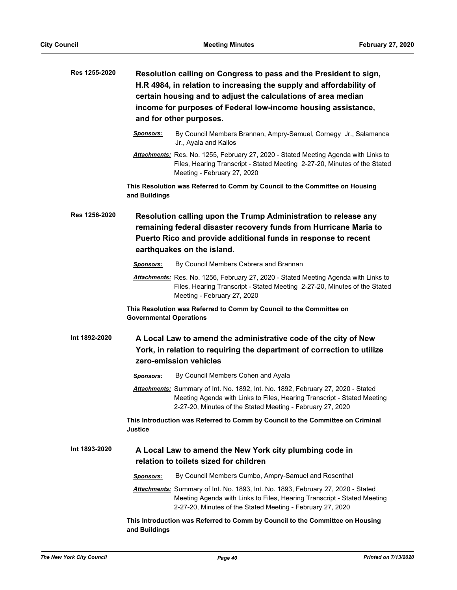| Res 1255-2020 | Resolution calling on Congress to pass and the President to sign,<br>H.R 4984, in relation to increasing the supply and affordability of<br>certain housing and to adjust the calculations of area median<br>income for purposes of Federal low-income housing assistance,<br>and for other purposes. |  |
|---------------|-------------------------------------------------------------------------------------------------------------------------------------------------------------------------------------------------------------------------------------------------------------------------------------------------------|--|
|               | By Council Members Brannan, Ampry-Samuel, Cornegy Jr., Salamanca<br><u>Sponsors:</u><br>Jr., Ayala and Kallos                                                                                                                                                                                         |  |
|               | Attachments: Res. No. 1255, February 27, 2020 - Stated Meeting Agenda with Links to<br>Files, Hearing Transcript - Stated Meeting 2-27-20, Minutes of the Stated<br>Meeting - February 27, 2020                                                                                                       |  |
|               | This Resolution was Referred to Comm by Council to the Committee on Housing<br>and Buildings                                                                                                                                                                                                          |  |
| Res 1256-2020 | Resolution calling upon the Trump Administration to release any<br>remaining federal disaster recovery funds from Hurricane Maria to<br>Puerto Rico and provide additional funds in response to recent<br>earthquakes on the island.                                                                  |  |
|               | By Council Members Cabrera and Brannan<br>Sponsors:                                                                                                                                                                                                                                                   |  |
|               | Attachments: Res. No. 1256, February 27, 2020 - Stated Meeting Agenda with Links to<br>Files, Hearing Transcript - Stated Meeting 2-27-20, Minutes of the Stated<br>Meeting - February 27, 2020                                                                                                       |  |
|               | This Resolution was Referred to Comm by Council to the Committee on<br><b>Governmental Operations</b>                                                                                                                                                                                                 |  |
| Int 1892-2020 | A Local Law to amend the administrative code of the city of New<br>York, in relation to requiring the department of correction to utilize<br>zero-emission vehicles                                                                                                                                   |  |
|               | By Council Members Cohen and Ayala<br>Sponsors:                                                                                                                                                                                                                                                       |  |
|               | Attachments: Summary of Int. No. 1892, Int. No. 1892, February 27, 2020 - Stated<br>Meeting Agenda with Links to Files, Hearing Transcript - Stated Meeting<br>2-27-20, Minutes of the Stated Meeting - February 27, 2020                                                                             |  |
|               | This Introduction was Referred to Comm by Council to the Committee on Criminal<br>Justice                                                                                                                                                                                                             |  |
| Int 1893-2020 | A Local Law to amend the New York city plumbing code in<br>relation to toilets sized for children                                                                                                                                                                                                     |  |
|               | By Council Members Cumbo, Ampry-Samuel and Rosenthal<br>Sponsors:                                                                                                                                                                                                                                     |  |
|               | Attachments: Summary of Int. No. 1893, Int. No. 1893, February 27, 2020 - Stated<br>Meeting Agenda with Links to Files, Hearing Transcript - Stated Meeting<br>2-27-20, Minutes of the Stated Meeting - February 27, 2020                                                                             |  |
|               | This Introduction was Referred to Comm by Council to the Committee on Housing<br>and Buildings                                                                                                                                                                                                        |  |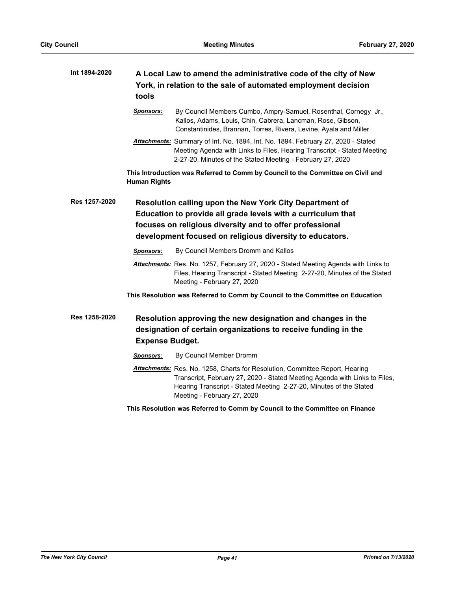| Int 1894-2020 | A Local Law to amend the administrative code of the city of New<br>York, in relation to the sale of automated employment decision<br>tools                                                                                                                      |  |
|---------------|-----------------------------------------------------------------------------------------------------------------------------------------------------------------------------------------------------------------------------------------------------------------|--|
|               | By Council Members Cumbo, Ampry-Samuel, Rosenthal, Cornegy Jr.,<br><u>Sponsors:</u><br>Kallos, Adams, Louis, Chin, Cabrera, Lancman, Rose, Gibson,<br>Constantinides, Brannan, Torres, Rivera, Levine, Ayala and Miller                                         |  |
|               | Attachments: Summary of Int. No. 1894, Int. No. 1894, February 27, 2020 - Stated<br>Meeting Agenda with Links to Files, Hearing Transcript - Stated Meeting<br>2-27-20, Minutes of the Stated Meeting - February 27, 2020                                       |  |
|               | This Introduction was Referred to Comm by Council to the Committee on Civil and<br><b>Human Rights</b>                                                                                                                                                          |  |
| Res 1257-2020 | Resolution calling upon the New York City Department of<br>Education to provide all grade levels with a curriculum that<br>focuses on religious diversity and to offer professional<br>development focused on religious diversity to educators.                 |  |
|               | By Council Members Dromm and Kallos<br>Sponsors:                                                                                                                                                                                                                |  |
|               | Attachments: Res. No. 1257, February 27, 2020 - Stated Meeting Agenda with Links to<br>Files, Hearing Transcript - Stated Meeting 2-27-20, Minutes of the Stated<br>Meeting - February 27, 2020                                                                 |  |
|               | This Resolution was Referred to Comm by Council to the Committee on Education                                                                                                                                                                                   |  |
| Res 1258-2020 | Resolution approving the new designation and changes in the<br>designation of certain organizations to receive funding in the<br><b>Expense Budget.</b>                                                                                                         |  |
|               | By Council Member Dromm<br><u>Sponsors:</u>                                                                                                                                                                                                                     |  |
|               | Attachments: Res. No. 1258, Charts for Resolution, Committee Report, Hearing<br>Transcript, February 27, 2020 - Stated Meeting Agenda with Links to Files,<br>Hearing Transcript - Stated Meeting 2-27-20, Minutes of the Stated<br>Meeting - February 27, 2020 |  |
|               | This Resolution was Referred to Comm by Council to the Committee on Finance                                                                                                                                                                                     |  |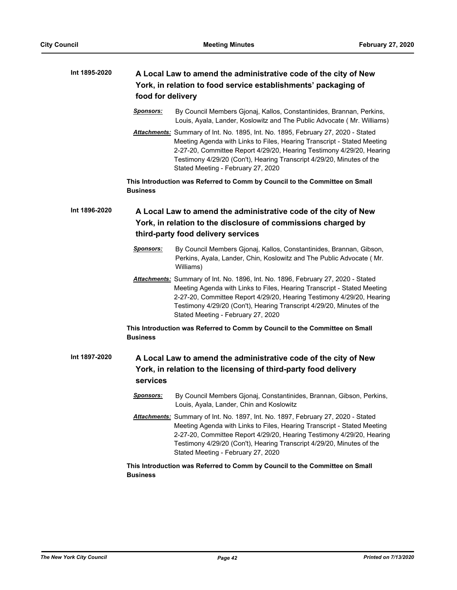| Int 1895-2020 | A Local Law to amend the administrative code of the city of New<br>York, in relation to food service establishments' packaging of<br>food for delivery                 |                                                                                                                                                                                                                                                                                                                                                     |
|---------------|------------------------------------------------------------------------------------------------------------------------------------------------------------------------|-----------------------------------------------------------------------------------------------------------------------------------------------------------------------------------------------------------------------------------------------------------------------------------------------------------------------------------------------------|
|               | <u>Sponsors:</u>                                                                                                                                                       | By Council Members Gjonaj, Kallos, Constantinides, Brannan, Perkins,<br>Louis, Ayala, Lander, Koslowitz and The Public Advocate (Mr. Williams)                                                                                                                                                                                                      |
|               |                                                                                                                                                                        | Attachments: Summary of Int. No. 1895, Int. No. 1895, February 27, 2020 - Stated<br>Meeting Agenda with Links to Files, Hearing Transcript - Stated Meeting<br>2-27-20, Committee Report 4/29/20, Hearing Testimony 4/29/20, Hearing<br>Testimony 4/29/20 (Con't), Hearing Transcript 4/29/20, Minutes of the<br>Stated Meeting - February 27, 2020 |
|               | <b>Business</b>                                                                                                                                                        | This Introduction was Referred to Comm by Council to the Committee on Small                                                                                                                                                                                                                                                                         |
| Int 1896-2020 | A Local Law to amend the administrative code of the city of New<br>York, in relation to the disclosure of commissions charged by<br>third-party food delivery services |                                                                                                                                                                                                                                                                                                                                                     |
|               | <b>Sponsors:</b>                                                                                                                                                       | By Council Members Gjonaj, Kallos, Constantinides, Brannan, Gibson,<br>Perkins, Ayala, Lander, Chin, Koslowitz and The Public Advocate (Mr.<br>Williams)                                                                                                                                                                                            |
|               |                                                                                                                                                                        | Attachments: Summary of Int. No. 1896, Int. No. 1896, February 27, 2020 - Stated<br>Meeting Agenda with Links to Files, Hearing Transcript - Stated Meeting<br>2-27-20, Committee Report 4/29/20, Hearing Testimony 4/29/20, Hearing<br>Testimony 4/29/20 (Con't), Hearing Transcript 4/29/20, Minutes of the<br>Stated Meeting - February 27, 2020 |
|               | <b>Business</b>                                                                                                                                                        | This Introduction was Referred to Comm by Council to the Committee on Small                                                                                                                                                                                                                                                                         |
| Int 1897-2020 | services                                                                                                                                                               | A Local Law to amend the administrative code of the city of New<br>York, in relation to the licensing of third-party food delivery                                                                                                                                                                                                                  |
|               | <u>Sponsors:</u>                                                                                                                                                       | By Council Members Gjonaj, Constantinides, Brannan, Gibson, Perkins,<br>Louis, Ayala, Lander, Chin and Koslowitz                                                                                                                                                                                                                                    |
|               |                                                                                                                                                                        | Attachments: Summary of Int. No. 1897, Int. No. 1897, February 27, 2020 - Stated<br>Meeting Agenda with Links to Files, Hearing Transcript - Stated Meeting<br>2-27-20, Committee Report 4/29/20, Hearing Testimony 4/29/20, Hearing<br>Testimony 4/29/20 (Con't), Hearing Transcript 4/29/20, Minutes of the<br>Stated Meeting - February 27, 2020 |
|               |                                                                                                                                                                        | This Introduction was Referred to Comm by Council to the Committee on Small                                                                                                                                                                                                                                                                         |

**Business**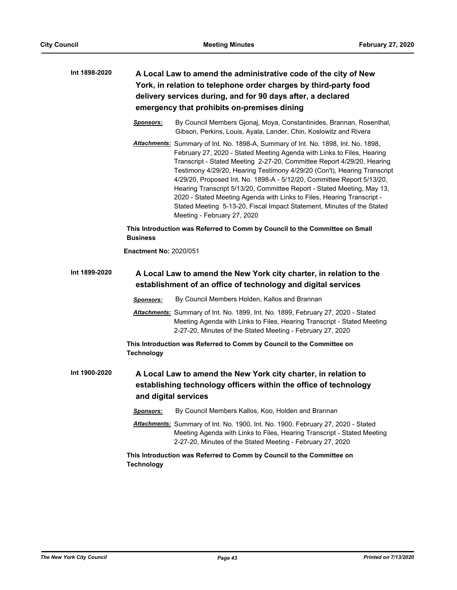| Int 1898-2020 | A Local Law to amend the administrative code of the city of New<br>York, in relation to telephone order charges by third-party food<br>delivery services during, and for 90 days after, a declared<br>emergency that prohibits on-premises dining |                                                                                                                                                                                                                                                                                                                                                                                                                                                                                                                                                                                                                                                          |
|---------------|---------------------------------------------------------------------------------------------------------------------------------------------------------------------------------------------------------------------------------------------------|----------------------------------------------------------------------------------------------------------------------------------------------------------------------------------------------------------------------------------------------------------------------------------------------------------------------------------------------------------------------------------------------------------------------------------------------------------------------------------------------------------------------------------------------------------------------------------------------------------------------------------------------------------|
|               | <u>Sponsors:</u>                                                                                                                                                                                                                                  | By Council Members Gjonaj, Moya, Constantinides, Brannan, Rosenthal,<br>Gibson, Perkins, Louis, Ayala, Lander, Chin, Koslowitz and Rivera                                                                                                                                                                                                                                                                                                                                                                                                                                                                                                                |
|               |                                                                                                                                                                                                                                                   | Attachments: Summary of Int. No. 1898-A, Summary of Int. No. 1898, Int. No. 1898,<br>February 27, 2020 - Stated Meeting Agenda with Links to Files, Hearing<br>Transcript - Stated Meeting 2-27-20, Committee Report 4/29/20, Hearing<br>Testimony 4/29/20, Hearing Testimony 4/29/20 (Con't), Hearing Transcript<br>4/29/20, Proposed Int. No. 1898-A - 5/12/20, Committee Report 5/13/20,<br>Hearing Transcript 5/13/20, Committee Report - Stated Meeting, May 13,<br>2020 - Stated Meeting Agenda with Links to Files, Hearing Transcript -<br>Stated Meeting 5-13-20, Fiscal Impact Statement, Minutes of the Stated<br>Meeting - February 27, 2020 |
|               | <b>Business</b>                                                                                                                                                                                                                                   | This Introduction was Referred to Comm by Council to the Committee on Small                                                                                                                                                                                                                                                                                                                                                                                                                                                                                                                                                                              |
|               | <b>Enactment No: 2020/051</b>                                                                                                                                                                                                                     |                                                                                                                                                                                                                                                                                                                                                                                                                                                                                                                                                                                                                                                          |
| Int 1899-2020 |                                                                                                                                                                                                                                                   | A Local Law to amend the New York city charter, in relation to the<br>establishment of an office of technology and digital services                                                                                                                                                                                                                                                                                                                                                                                                                                                                                                                      |
|               | <b>Sponsors:</b>                                                                                                                                                                                                                                  | By Council Members Holden, Kallos and Brannan                                                                                                                                                                                                                                                                                                                                                                                                                                                                                                                                                                                                            |
|               |                                                                                                                                                                                                                                                   | Attachments: Summary of Int. No. 1899, Int. No. 1899, February 27, 2020 - Stated<br>Meeting Agenda with Links to Files, Hearing Transcript - Stated Meeting<br>2-27-20, Minutes of the Stated Meeting - February 27, 2020                                                                                                                                                                                                                                                                                                                                                                                                                                |
|               | <b>Technology</b>                                                                                                                                                                                                                                 | This Introduction was Referred to Comm by Council to the Committee on                                                                                                                                                                                                                                                                                                                                                                                                                                                                                                                                                                                    |
| Int 1900-2020 | A Local Law to amend the New York city charter, in relation to<br>establishing technology officers within the office of technology<br>and digital services                                                                                        |                                                                                                                                                                                                                                                                                                                                                                                                                                                                                                                                                                                                                                                          |
|               | <b>Sponsors:</b>                                                                                                                                                                                                                                  | By Council Members Kallos, Koo, Holden and Brannan                                                                                                                                                                                                                                                                                                                                                                                                                                                                                                                                                                                                       |
|               |                                                                                                                                                                                                                                                   | Attachments: Summary of Int. No. 1900, Int. No. 1900, February 27, 2020 - Stated<br>Meeting Agenda with Links to Files, Hearing Transcript - Stated Meeting<br>2-27-20, Minutes of the Stated Meeting - February 27, 2020                                                                                                                                                                                                                                                                                                                                                                                                                                |
|               | <b>Technology</b>                                                                                                                                                                                                                                 | This Introduction was Referred to Comm by Council to the Committee on                                                                                                                                                                                                                                                                                                                                                                                                                                                                                                                                                                                    |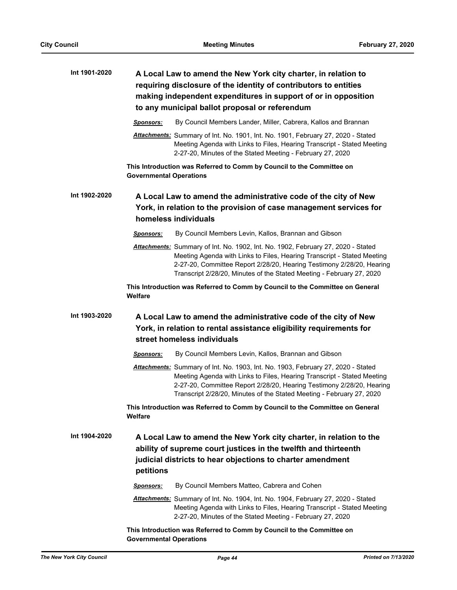| Int 1901-2020 | A Local Law to amend the New York city charter, in relation to<br>requiring disclosure of the identity of contributors to entities<br>making independent expenditures in support of or in opposition<br>to any municipal ballot proposal or referendum |                                                                                                                                                                                                                                                                                                               |  |
|---------------|--------------------------------------------------------------------------------------------------------------------------------------------------------------------------------------------------------------------------------------------------------|---------------------------------------------------------------------------------------------------------------------------------------------------------------------------------------------------------------------------------------------------------------------------------------------------------------|--|
|               | <u>Sponsors:</u>                                                                                                                                                                                                                                       | By Council Members Lander, Miller, Cabrera, Kallos and Brannan                                                                                                                                                                                                                                                |  |
|               |                                                                                                                                                                                                                                                        | Attachments: Summary of Int. No. 1901, Int. No. 1901, February 27, 2020 - Stated<br>Meeting Agenda with Links to Files, Hearing Transcript - Stated Meeting<br>2-27-20, Minutes of the Stated Meeting - February 27, 2020                                                                                     |  |
|               | <b>Governmental Operations</b>                                                                                                                                                                                                                         | This Introduction was Referred to Comm by Council to the Committee on                                                                                                                                                                                                                                         |  |
| Int 1902-2020 |                                                                                                                                                                                                                                                        | A Local Law to amend the administrative code of the city of New                                                                                                                                                                                                                                               |  |
|               | York, in relation to the provision of case management services for                                                                                                                                                                                     |                                                                                                                                                                                                                                                                                                               |  |
|               |                                                                                                                                                                                                                                                        | homeless individuals                                                                                                                                                                                                                                                                                          |  |
|               | <b>Sponsors:</b>                                                                                                                                                                                                                                       | By Council Members Levin, Kallos, Brannan and Gibson                                                                                                                                                                                                                                                          |  |
|               |                                                                                                                                                                                                                                                        | Attachments: Summary of Int. No. 1902, Int. No. 1902, February 27, 2020 - Stated<br>Meeting Agenda with Links to Files, Hearing Transcript - Stated Meeting<br>2-27-20, Committee Report 2/28/20, Hearing Testimony 2/28/20, Hearing<br>Transcript 2/28/20, Minutes of the Stated Meeting - February 27, 2020 |  |
|               | Welfare                                                                                                                                                                                                                                                | This Introduction was Referred to Comm by Council to the Committee on General                                                                                                                                                                                                                                 |  |
| Int 1903-2020 |                                                                                                                                                                                                                                                        | A Local Law to amend the administrative code of the city of New<br>York, in relation to rental assistance eligibility requirements for<br>street homeless individuals                                                                                                                                         |  |
|               | <b>Sponsors:</b>                                                                                                                                                                                                                                       | By Council Members Levin, Kallos, Brannan and Gibson                                                                                                                                                                                                                                                          |  |
|               |                                                                                                                                                                                                                                                        | Attachments: Summary of Int. No. 1903, Int. No. 1903, February 27, 2020 - Stated<br>Meeting Agenda with Links to Files, Hearing Transcript - Stated Meeting<br>2-27-20, Committee Report 2/28/20, Hearing Testimony 2/28/20, Hearing<br>Transcript 2/28/20, Minutes of the Stated Meeting - February 27, 2020 |  |
|               | Welfare                                                                                                                                                                                                                                                | This Introduction was Referred to Comm by Council to the Committee on General                                                                                                                                                                                                                                 |  |
| Int 1904-2020 | petitions                                                                                                                                                                                                                                              | A Local Law to amend the New York city charter, in relation to the<br>ability of supreme court justices in the twelfth and thirteenth<br>judicial districts to hear objections to charter amendment                                                                                                           |  |
|               | Sponsors:                                                                                                                                                                                                                                              | By Council Members Matteo, Cabrera and Cohen                                                                                                                                                                                                                                                                  |  |
|               |                                                                                                                                                                                                                                                        | Attachments: Summary of Int. No. 1904, Int. No. 1904, February 27, 2020 - Stated<br>Meeting Agenda with Links to Files, Hearing Transcript - Stated Meeting<br>2-27-20, Minutes of the Stated Meeting - February 27, 2020                                                                                     |  |
|               | <b>Governmental Operations</b>                                                                                                                                                                                                                         | This Introduction was Referred to Comm by Council to the Committee on                                                                                                                                                                                                                                         |  |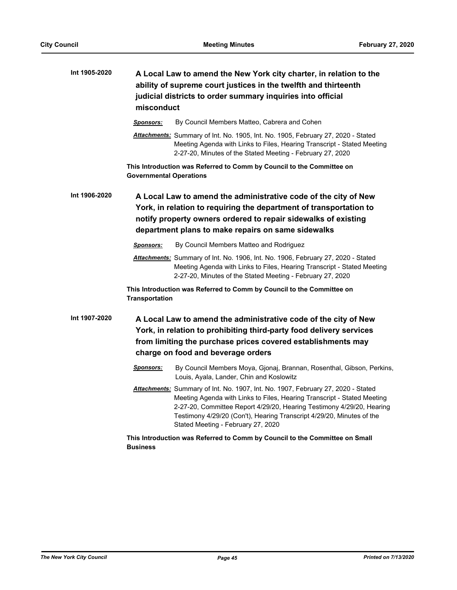| Int 1905-2020 | A Local Law to amend the New York city charter, in relation to the<br>ability of supreme court justices in the twelfth and thirteenth<br>judicial districts to order summary inquiries into official<br>misconduct                                                                                                                                  |  |
|---------------|-----------------------------------------------------------------------------------------------------------------------------------------------------------------------------------------------------------------------------------------------------------------------------------------------------------------------------------------------------|--|
|               | By Council Members Matteo, Cabrera and Cohen<br><u>Sponsors:</u>                                                                                                                                                                                                                                                                                    |  |
|               | Attachments: Summary of Int. No. 1905, Int. No. 1905, February 27, 2020 - Stated<br>Meeting Agenda with Links to Files, Hearing Transcript - Stated Meeting<br>2-27-20, Minutes of the Stated Meeting - February 27, 2020                                                                                                                           |  |
|               | This Introduction was Referred to Comm by Council to the Committee on<br><b>Governmental Operations</b>                                                                                                                                                                                                                                             |  |
| Int 1906-2020 | A Local Law to amend the administrative code of the city of New<br>York, in relation to requiring the department of transportation to<br>notify property owners ordered to repair sidewalks of existing<br>department plans to make repairs on same sidewalks                                                                                       |  |
|               | By Council Members Matteo and Rodriguez<br><u>Sponsors:</u>                                                                                                                                                                                                                                                                                         |  |
|               | Attachments: Summary of Int. No. 1906, Int. No. 1906, February 27, 2020 - Stated<br>Meeting Agenda with Links to Files, Hearing Transcript - Stated Meeting<br>2-27-20, Minutes of the Stated Meeting - February 27, 2020                                                                                                                           |  |
|               | This Introduction was Referred to Comm by Council to the Committee on<br><b>Transportation</b>                                                                                                                                                                                                                                                      |  |
| Int 1907-2020 | A Local Law to amend the administrative code of the city of New<br>York, in relation to prohibiting third-party food delivery services<br>from limiting the purchase prices covered establishments may<br>charge on food and beverage orders                                                                                                        |  |
|               | By Council Members Moya, Gjonaj, Brannan, Rosenthal, Gibson, Perkins,<br><b>Sponsors:</b><br>Louis, Ayala, Lander, Chin and Koslowitz                                                                                                                                                                                                               |  |
|               | Attachments: Summary of Int. No. 1907, Int. No. 1907, February 27, 2020 - Stated<br>Meeting Agenda with Links to Files, Hearing Transcript - Stated Meeting<br>2-27-20, Committee Report 4/29/20, Hearing Testimony 4/29/20, Hearing<br>Testimony 4/29/20 (Con't), Hearing Transcript 4/29/20, Minutes of the<br>Stated Meeting - February 27, 2020 |  |
|               | This Introduction was Referred to Comm by Council to the Committee on Small<br><b>Business</b>                                                                                                                                                                                                                                                      |  |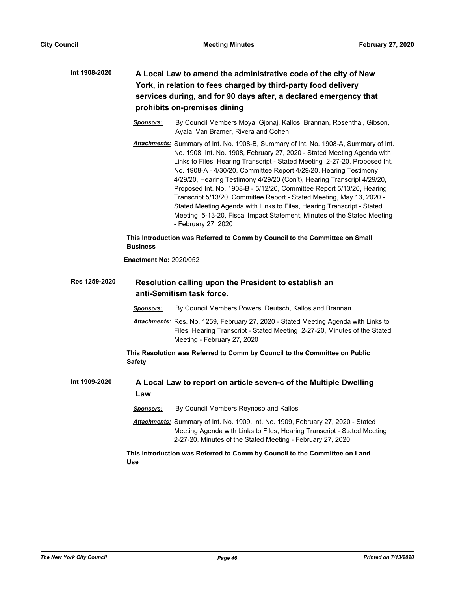| Int 1908-2020 | A Local Law to amend the administrative code of the city of New<br>York, in relation to fees charged by third-party food delivery<br>services during, and for 90 days after, a declared emergency that<br>prohibits on-premises dining |                                                                                                                                                                                                                                                                                                                                                                                                                                                                                                                                                                                                                                                                                                                             |
|---------------|----------------------------------------------------------------------------------------------------------------------------------------------------------------------------------------------------------------------------------------|-----------------------------------------------------------------------------------------------------------------------------------------------------------------------------------------------------------------------------------------------------------------------------------------------------------------------------------------------------------------------------------------------------------------------------------------------------------------------------------------------------------------------------------------------------------------------------------------------------------------------------------------------------------------------------------------------------------------------------|
|               | <u>Sponsors:</u>                                                                                                                                                                                                                       | By Council Members Moya, Gjonaj, Kallos, Brannan, Rosenthal, Gibson,<br>Ayala, Van Bramer, Rivera and Cohen                                                                                                                                                                                                                                                                                                                                                                                                                                                                                                                                                                                                                 |
|               |                                                                                                                                                                                                                                        | Attachments: Summary of Int. No. 1908-B, Summary of Int. No. 1908-A, Summary of Int.<br>No. 1908, Int. No. 1908, February 27, 2020 - Stated Meeting Agenda with<br>Links to Files, Hearing Transcript - Stated Meeting 2-27-20, Proposed Int.<br>No. 1908-A - 4/30/20, Committee Report 4/29/20, Hearing Testimony<br>4/29/20, Hearing Testimony 4/29/20 (Con't), Hearing Transcript 4/29/20,<br>Proposed Int. No. 1908-B - 5/12/20, Committee Report 5/13/20, Hearing<br>Transcript 5/13/20, Committee Report - Stated Meeting, May 13, 2020 -<br>Stated Meeting Agenda with Links to Files, Hearing Transcript - Stated<br>Meeting 5-13-20, Fiscal Impact Statement, Minutes of the Stated Meeting<br>- February 27, 2020 |
|               | <b>Business</b>                                                                                                                                                                                                                        | This Introduction was Referred to Comm by Council to the Committee on Small                                                                                                                                                                                                                                                                                                                                                                                                                                                                                                                                                                                                                                                 |
|               | <b>Enactment No: 2020/052</b>                                                                                                                                                                                                          |                                                                                                                                                                                                                                                                                                                                                                                                                                                                                                                                                                                                                                                                                                                             |
| Res 1259-2020 |                                                                                                                                                                                                                                        | Resolution calling upon the President to establish an<br>anti-Semitism task force.                                                                                                                                                                                                                                                                                                                                                                                                                                                                                                                                                                                                                                          |
|               | <u>Sponsors:</u>                                                                                                                                                                                                                       | By Council Members Powers, Deutsch, Kallos and Brannan                                                                                                                                                                                                                                                                                                                                                                                                                                                                                                                                                                                                                                                                      |
|               |                                                                                                                                                                                                                                        | Attachments: Res. No. 1259, February 27, 2020 - Stated Meeting Agenda with Links to<br>Files, Hearing Transcript - Stated Meeting 2-27-20, Minutes of the Stated<br>Meeting - February 27, 2020                                                                                                                                                                                                                                                                                                                                                                                                                                                                                                                             |
|               | <b>Safety</b>                                                                                                                                                                                                                          | This Resolution was Referred to Comm by Council to the Committee on Public                                                                                                                                                                                                                                                                                                                                                                                                                                                                                                                                                                                                                                                  |
| Int 1909-2020 | Law                                                                                                                                                                                                                                    | A Local Law to report on article seven-c of the Multiple Dwelling                                                                                                                                                                                                                                                                                                                                                                                                                                                                                                                                                                                                                                                           |
|               | <u>Sponsors:</u>                                                                                                                                                                                                                       | By Council Members Reynoso and Kallos                                                                                                                                                                                                                                                                                                                                                                                                                                                                                                                                                                                                                                                                                       |
|               |                                                                                                                                                                                                                                        | Attachments: Summary of Int. No. 1909, Int. No. 1909, February 27, 2020 - Stated<br>Meeting Agenda with Links to Files, Hearing Transcript - Stated Meeting<br>2-27-20, Minutes of the Stated Meeting - February 27, 2020                                                                                                                                                                                                                                                                                                                                                                                                                                                                                                   |
|               | Use                                                                                                                                                                                                                                    | This Introduction was Referred to Comm by Council to the Committee on Land                                                                                                                                                                                                                                                                                                                                                                                                                                                                                                                                                                                                                                                  |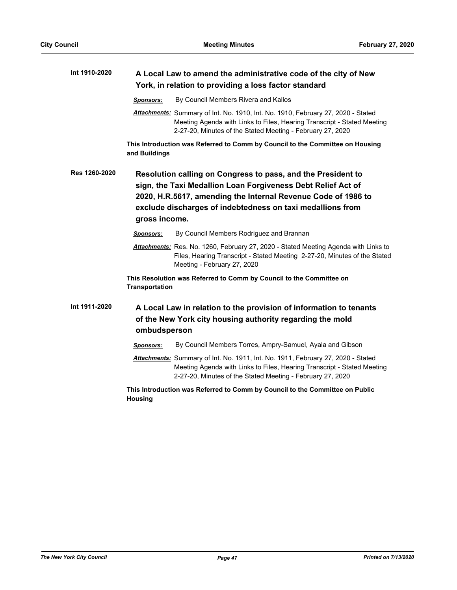| Int 1910-2020 | A Local Law to amend the administrative code of the city of New<br>York, in relation to providing a loss factor standard                                                                                                                                                     |  |
|---------------|------------------------------------------------------------------------------------------------------------------------------------------------------------------------------------------------------------------------------------------------------------------------------|--|
|               | By Council Members Rivera and Kallos<br>Sponsors:                                                                                                                                                                                                                            |  |
|               | Attachments: Summary of Int. No. 1910, Int. No. 1910, February 27, 2020 - Stated<br>Meeting Agenda with Links to Files, Hearing Transcript - Stated Meeting<br>2-27-20, Minutes of the Stated Meeting - February 27, 2020                                                    |  |
|               | This Introduction was Referred to Comm by Council to the Committee on Housing<br>and Buildings                                                                                                                                                                               |  |
| Res 1260-2020 | Resolution calling on Congress to pass, and the President to<br>sign, the Taxi Medallion Loan Forgiveness Debt Relief Act of<br>2020, H.R.5617, amending the Internal Revenue Code of 1986 to<br>exclude discharges of indebtedness on taxi medallions from<br>gross income. |  |
|               | By Council Members Rodriguez and Brannan<br>Sponsors:                                                                                                                                                                                                                        |  |
|               | Attachments: Res. No. 1260, February 27, 2020 - Stated Meeting Agenda with Links to<br>Files, Hearing Transcript - Stated Meeting 2-27-20, Minutes of the Stated<br>Meeting - February 27, 2020                                                                              |  |
|               | This Resolution was Referred to Comm by Council to the Committee on<br><b>Transportation</b>                                                                                                                                                                                 |  |
| Int 1911-2020 | A Local Law in relation to the provision of information to tenants<br>of the New York city housing authority regarding the mold<br>ombudsperson                                                                                                                              |  |
|               | By Council Members Torres, Ampry-Samuel, Ayala and Gibson<br><b>Sponsors:</b>                                                                                                                                                                                                |  |
|               | Attachments: Summary of Int. No. 1911, Int. No. 1911, February 27, 2020 - Stated<br>Meeting Agenda with Links to Files, Hearing Transcript - Stated Meeting<br>2-27-20, Minutes of the Stated Meeting - February 27, 2020                                                    |  |

**This Introduction was Referred to Comm by Council to the Committee on Public Housing**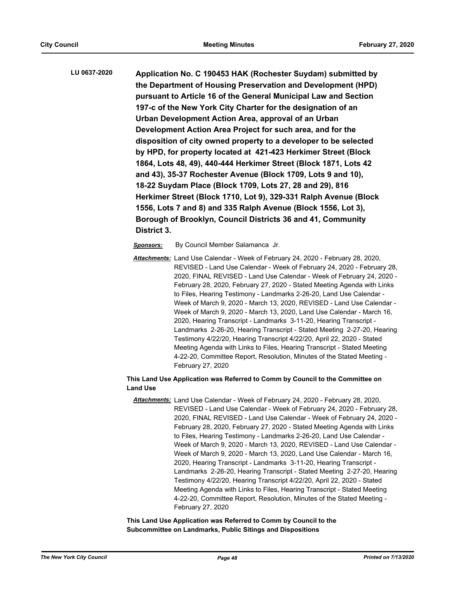**Application No. C 190453 HAK (Rochester Suydam) submitted by the Department of Housing Preservation and Development (HPD) pursuant to Article 16 of the General Municipal Law and Section 197-c of the New York City Charter for the designation of an Urban Development Action Area, approval of an Urban Development Action Area Project for such area, and for the disposition of city owned property to a developer to be selected by HPD, for property located at 421-423 Herkimer Street (Block 1864, Lots 48, 49), 440-444 Herkimer Street (Block 1871, Lots 42 and 43), 35-37 Rochester Avenue (Block 1709, Lots 9 and 10), 18-22 Suydam Place (Block 1709, Lots 27, 28 and 29), 816 Herkimer Street (Block 1710, Lot 9), 329-331 Ralph Avenue (Block 1556, Lots 7 and 8) and 335 Ralph Avenue (Block 1556, Lot 3), Borough of Brooklyn, Council Districts 36 and 41, Community District 3. LU 0637-2020**

*Sponsors:* By Council Member Salamanca Jr.

*Attachments:* Land Use Calendar - Week of February 24, 2020 - February 28, 2020, REVISED - Land Use Calendar - Week of February 24, 2020 - February 28, 2020, FINAL REVISED - Land Use Calendar - Week of February 24, 2020 - February 28, 2020, February 27, 2020 - Stated Meeting Agenda with Links to Files, Hearing Testimony - Landmarks 2-26-20, Land Use Calendar - Week of March 9, 2020 - March 13, 2020, REVISED - Land Use Calendar - Week of March 9, 2020 - March 13, 2020, Land Use Calendar - March 16, 2020, Hearing Transcript - Landmarks 3-11-20, Hearing Transcript - Landmarks 2-26-20, Hearing Transcript - Stated Meeting 2-27-20, Hearing Testimony 4/22/20, Hearing Transcript 4/22/20, April 22, 2020 - Stated Meeting Agenda with Links to Files, Hearing Transcript - Stated Meeting 4-22-20, Committee Report, Resolution, Minutes of the Stated Meeting - February 27, 2020

## **This Land Use Application was Referred to Comm by Council to the Committee on Land Use**

*Attachments:* Land Use Calendar - Week of February 24, 2020 - February 28, 2020, REVISED - Land Use Calendar - Week of February 24, 2020 - February 28, 2020, FINAL REVISED - Land Use Calendar - Week of February 24, 2020 - February 28, 2020, February 27, 2020 - Stated Meeting Agenda with Links to Files, Hearing Testimony - Landmarks 2-26-20, Land Use Calendar - Week of March 9, 2020 - March 13, 2020, REVISED - Land Use Calendar - Week of March 9, 2020 - March 13, 2020, Land Use Calendar - March 16, 2020, Hearing Transcript - Landmarks 3-11-20, Hearing Transcript - Landmarks 2-26-20, Hearing Transcript - Stated Meeting 2-27-20, Hearing Testimony 4/22/20, Hearing Transcript 4/22/20, April 22, 2020 - Stated Meeting Agenda with Links to Files, Hearing Transcript - Stated Meeting 4-22-20, Committee Report, Resolution, Minutes of the Stated Meeting - February 27, 2020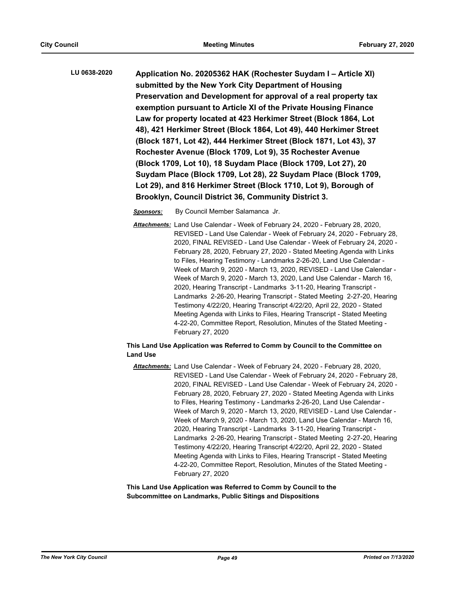**Application No. 20205362 HAK (Rochester Suydam I – Article XI) submitted by the New York City Department of Housing Preservation and Development for approval of a real property tax exemption pursuant to Article XI of the Private Housing Finance Law for property located at 423 Herkimer Street (Block 1864, Lot 48), 421 Herkimer Street (Block 1864, Lot 49), 440 Herkimer Street (Block 1871, Lot 42), 444 Herkimer Street (Block 1871, Lot 43), 37 Rochester Avenue (Block 1709, Lot 9), 35 Rochester Avenue (Block 1709, Lot 10), 18 Suydam Place (Block 1709, Lot 27), 20 Suydam Place (Block 1709, Lot 28), 22 Suydam Place (Block 1709, Lot 29), and 816 Herkimer Street (Block 1710, Lot 9), Borough of Brooklyn, Council District 36, Community District 3. LU 0638-2020**

*Sponsors:* By Council Member Salamanca Jr.

*Attachments:* Land Use Calendar - Week of February 24, 2020 - February 28, 2020, REVISED - Land Use Calendar - Week of February 24, 2020 - February 28, 2020, FINAL REVISED - Land Use Calendar - Week of February 24, 2020 - February 28, 2020, February 27, 2020 - Stated Meeting Agenda with Links to Files, Hearing Testimony - Landmarks 2-26-20, Land Use Calendar - Week of March 9, 2020 - March 13, 2020, REVISED - Land Use Calendar - Week of March 9, 2020 - March 13, 2020, Land Use Calendar - March 16, 2020, Hearing Transcript - Landmarks 3-11-20, Hearing Transcript - Landmarks 2-26-20, Hearing Transcript - Stated Meeting 2-27-20, Hearing Testimony 4/22/20, Hearing Transcript 4/22/20, April 22, 2020 - Stated Meeting Agenda with Links to Files, Hearing Transcript - Stated Meeting 4-22-20, Committee Report, Resolution, Minutes of the Stated Meeting - February 27, 2020

**This Land Use Application was Referred to Comm by Council to the Committee on Land Use**

*Attachments:* Land Use Calendar - Week of February 24, 2020 - February 28, 2020, REVISED - Land Use Calendar - Week of February 24, 2020 - February 28, 2020, FINAL REVISED - Land Use Calendar - Week of February 24, 2020 - February 28, 2020, February 27, 2020 - Stated Meeting Agenda with Links to Files, Hearing Testimony - Landmarks 2-26-20, Land Use Calendar - Week of March 9, 2020 - March 13, 2020, REVISED - Land Use Calendar - Week of March 9, 2020 - March 13, 2020, Land Use Calendar - March 16, 2020, Hearing Transcript - Landmarks 3-11-20, Hearing Transcript - Landmarks 2-26-20, Hearing Transcript - Stated Meeting 2-27-20, Hearing Testimony 4/22/20, Hearing Transcript 4/22/20, April 22, 2020 - Stated Meeting Agenda with Links to Files, Hearing Transcript - Stated Meeting 4-22-20, Committee Report, Resolution, Minutes of the Stated Meeting - February 27, 2020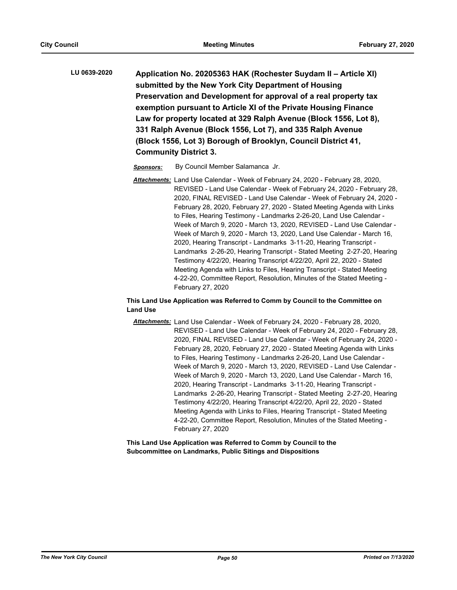**Application No. 20205363 HAK (Rochester Suydam II – Article XI) submitted by the New York City Department of Housing Preservation and Development for approval of a real property tax exemption pursuant to Article XI of the Private Housing Finance Law for property located at 329 Ralph Avenue (Block 1556, Lot 8), 331 Ralph Avenue (Block 1556, Lot 7), and 335 Ralph Avenue (Block 1556, Lot 3) Borough of Brooklyn, Council District 41, Community District 3. LU 0639-2020**

*Sponsors:* By Council Member Salamanca Jr.

*Attachments:* Land Use Calendar - Week of February 24, 2020 - February 28, 2020, REVISED - Land Use Calendar - Week of February 24, 2020 - February 28, 2020, FINAL REVISED - Land Use Calendar - Week of February 24, 2020 - February 28, 2020, February 27, 2020 - Stated Meeting Agenda with Links to Files, Hearing Testimony - Landmarks 2-26-20, Land Use Calendar - Week of March 9, 2020 - March 13, 2020, REVISED - Land Use Calendar - Week of March 9, 2020 - March 13, 2020, Land Use Calendar - March 16, 2020, Hearing Transcript - Landmarks 3-11-20, Hearing Transcript - Landmarks 2-26-20, Hearing Transcript - Stated Meeting 2-27-20, Hearing Testimony 4/22/20, Hearing Transcript 4/22/20, April 22, 2020 - Stated Meeting Agenda with Links to Files, Hearing Transcript - Stated Meeting 4-22-20, Committee Report, Resolution, Minutes of the Stated Meeting - February 27, 2020

## **This Land Use Application was Referred to Comm by Council to the Committee on Land Use**

*Attachments:* Land Use Calendar - Week of February 24, 2020 - February 28, 2020, REVISED - Land Use Calendar - Week of February 24, 2020 - February 28, 2020, FINAL REVISED - Land Use Calendar - Week of February 24, 2020 - February 28, 2020, February 27, 2020 - Stated Meeting Agenda with Links to Files, Hearing Testimony - Landmarks 2-26-20, Land Use Calendar - Week of March 9, 2020 - March 13, 2020, REVISED - Land Use Calendar - Week of March 9, 2020 - March 13, 2020, Land Use Calendar - March 16, 2020, Hearing Transcript - Landmarks 3-11-20, Hearing Transcript - Landmarks 2-26-20, Hearing Transcript - Stated Meeting 2-27-20, Hearing Testimony 4/22/20, Hearing Transcript 4/22/20, April 22, 2020 - Stated Meeting Agenda with Links to Files, Hearing Transcript - Stated Meeting 4-22-20, Committee Report, Resolution, Minutes of the Stated Meeting - February 27, 2020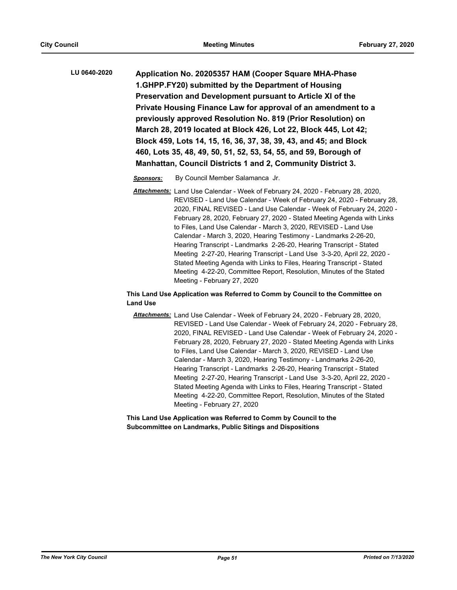**Application No. 20205357 HAM (Cooper Square MHA-Phase 1.GHPP.FY20) submitted by the Department of Housing Preservation and Development pursuant to Article XI of the Private Housing Finance Law for approval of an amendment to a previously approved Resolution No. 819 (Prior Resolution) on March 28, 2019 located at Block 426, Lot 22, Block 445, Lot 42; Block 459, Lots 14, 15, 16, 36, 37, 38, 39, 43, and 45; and Block 460, Lots 35, 48, 49, 50, 51, 52, 53, 54, 55, and 59, Borough of Manhattan, Council Districts 1 and 2, Community District 3. LU 0640-2020**

*Sponsors:* By Council Member Salamanca Jr.

*Attachments:* Land Use Calendar - Week of February 24, 2020 - February 28, 2020, REVISED - Land Use Calendar - Week of February 24, 2020 - February 28, 2020, FINAL REVISED - Land Use Calendar - Week of February 24, 2020 - February 28, 2020, February 27, 2020 - Stated Meeting Agenda with Links to Files, Land Use Calendar - March 3, 2020, REVISED - Land Use Calendar - March 3, 2020, Hearing Testimony - Landmarks 2-26-20, Hearing Transcript - Landmarks 2-26-20, Hearing Transcript - Stated Meeting 2-27-20, Hearing Transcript - Land Use 3-3-20, April 22, 2020 - Stated Meeting Agenda with Links to Files, Hearing Transcript - Stated Meeting 4-22-20, Committee Report, Resolution, Minutes of the Stated Meeting - February 27, 2020

## **This Land Use Application was Referred to Comm by Council to the Committee on Land Use**

*Attachments:* Land Use Calendar - Week of February 24, 2020 - February 28, 2020, REVISED - Land Use Calendar - Week of February 24, 2020 - February 28, 2020, FINAL REVISED - Land Use Calendar - Week of February 24, 2020 - February 28, 2020, February 27, 2020 - Stated Meeting Agenda with Links to Files, Land Use Calendar - March 3, 2020, REVISED - Land Use Calendar - March 3, 2020, Hearing Testimony - Landmarks 2-26-20, Hearing Transcript - Landmarks 2-26-20, Hearing Transcript - Stated Meeting 2-27-20, Hearing Transcript - Land Use 3-3-20, April 22, 2020 - Stated Meeting Agenda with Links to Files, Hearing Transcript - Stated Meeting 4-22-20, Committee Report, Resolution, Minutes of the Stated Meeting - February 27, 2020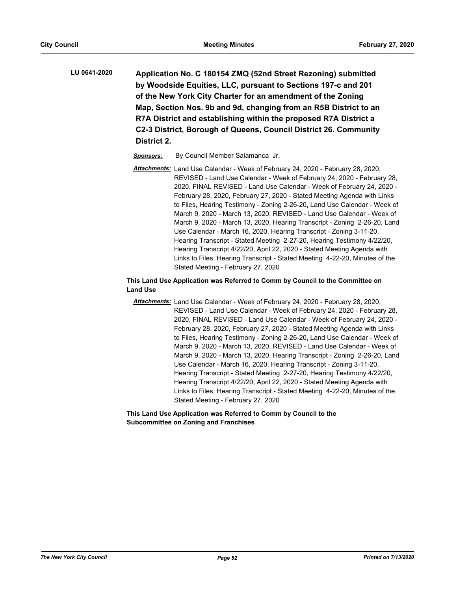- **Application No. C 180154 ZMQ (52nd Street Rezoning) submitted by Woodside Equities, LLC, pursuant to Sections 197-c and 201 of the New York City Charter for an amendment of the Zoning Map, Section Nos. 9b and 9d, changing from an R5B District to an R7A District and establishing within the proposed R7A District a C2-3 District, Borough of Queens, Council District 26. Community District 2. LU 0641-2020**
	- *Sponsors:* By Council Member Salamanca Jr.
	- *Attachments:* Land Use Calendar Week of February 24, 2020 February 28, 2020, REVISED - Land Use Calendar - Week of February 24, 2020 - February 28, 2020, FINAL REVISED - Land Use Calendar - Week of February 24, 2020 - February 28, 2020, February 27, 2020 - Stated Meeting Agenda with Links to Files, Hearing Testimony - Zoning 2-26-20, Land Use Calendar - Week of March 9, 2020 - March 13, 2020, REVISED - Land Use Calendar - Week of March 9, 2020 - March 13, 2020, Hearing Transcript - Zoning 2-26-20, Land Use Calendar - March 16, 2020, Hearing Transcript - Zoning 3-11-20, Hearing Transcript - Stated Meeting 2-27-20, Hearing Testimony 4/22/20, Hearing Transcript 4/22/20, April 22, 2020 - Stated Meeting Agenda with Links to Files, Hearing Transcript - Stated Meeting 4-22-20, Minutes of the Stated Meeting - February 27, 2020

## **This Land Use Application was Referred to Comm by Council to the Committee on Land Use**

*Attachments:* Land Use Calendar - Week of February 24, 2020 - February 28, 2020, REVISED - Land Use Calendar - Week of February 24, 2020 - February 28, 2020, FINAL REVISED - Land Use Calendar - Week of February 24, 2020 - February 28, 2020, February 27, 2020 - Stated Meeting Agenda with Links to Files, Hearing Testimony - Zoning 2-26-20, Land Use Calendar - Week of March 9, 2020 - March 13, 2020, REVISED - Land Use Calendar - Week of March 9, 2020 - March 13, 2020, Hearing Transcript - Zoning 2-26-20, Land Use Calendar - March 16, 2020, Hearing Transcript - Zoning 3-11-20, Hearing Transcript - Stated Meeting 2-27-20, Hearing Testimony 4/22/20, Hearing Transcript 4/22/20, April 22, 2020 - Stated Meeting Agenda with Links to Files, Hearing Transcript - Stated Meeting 4-22-20, Minutes of the Stated Meeting - February 27, 2020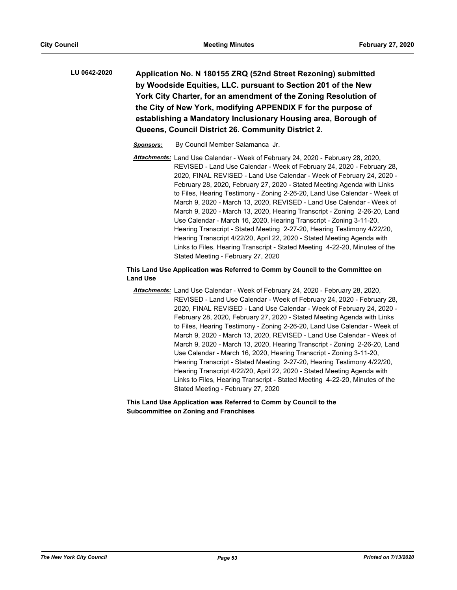**Application No. N 180155 ZRQ (52nd Street Rezoning) submitted by Woodside Equities, LLC. pursuant to Section 201 of the New York City Charter, for an amendment of the Zoning Resolution of the City of New York, modifying APPENDIX F for the purpose of establishing a Mandatory Inclusionary Housing area, Borough of Queens, Council District 26. Community District 2. LU 0642-2020**

- *Sponsors:* By Council Member Salamanca Jr.
- *Attachments:* Land Use Calendar Week of February 24, 2020 February 28, 2020, REVISED - Land Use Calendar - Week of February 24, 2020 - February 28, 2020, FINAL REVISED - Land Use Calendar - Week of February 24, 2020 - February 28, 2020, February 27, 2020 - Stated Meeting Agenda with Links to Files, Hearing Testimony - Zoning 2-26-20, Land Use Calendar - Week of March 9, 2020 - March 13, 2020, REVISED - Land Use Calendar - Week of March 9, 2020 - March 13, 2020, Hearing Transcript - Zoning 2-26-20, Land Use Calendar - March 16, 2020, Hearing Transcript - Zoning 3-11-20, Hearing Transcript - Stated Meeting 2-27-20, Hearing Testimony 4/22/20, Hearing Transcript 4/22/20, April 22, 2020 - Stated Meeting Agenda with Links to Files, Hearing Transcript - Stated Meeting 4-22-20, Minutes of the Stated Meeting - February 27, 2020

## **This Land Use Application was Referred to Comm by Council to the Committee on Land Use**

*Attachments:* Land Use Calendar - Week of February 24, 2020 - February 28, 2020, REVISED - Land Use Calendar - Week of February 24, 2020 - February 28, 2020, FINAL REVISED - Land Use Calendar - Week of February 24, 2020 - February 28, 2020, February 27, 2020 - Stated Meeting Agenda with Links to Files, Hearing Testimony - Zoning 2-26-20, Land Use Calendar - Week of March 9, 2020 - March 13, 2020, REVISED - Land Use Calendar - Week of March 9, 2020 - March 13, 2020, Hearing Transcript - Zoning 2-26-20, Land Use Calendar - March 16, 2020, Hearing Transcript - Zoning 3-11-20, Hearing Transcript - Stated Meeting 2-27-20, Hearing Testimony 4/22/20, Hearing Transcript 4/22/20, April 22, 2020 - Stated Meeting Agenda with Links to Files, Hearing Transcript - Stated Meeting 4-22-20, Minutes of the Stated Meeting - February 27, 2020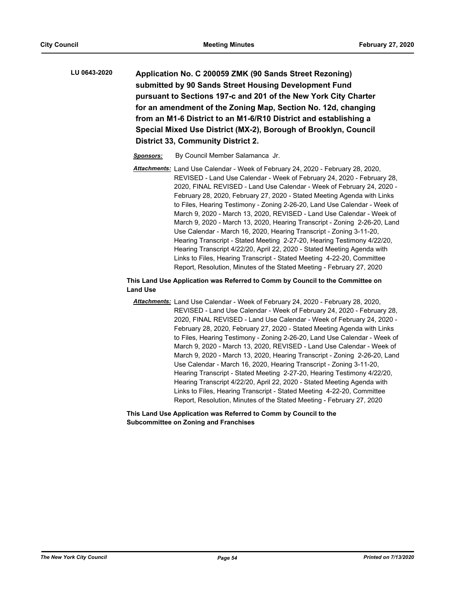- **Application No. C 200059 ZMK (90 Sands Street Rezoning) submitted by 90 Sands Street Housing Development Fund pursuant to Sections 197-c and 201 of the New York City Charter for an amendment of the Zoning Map, Section No. 12d, changing from an M1-6 District to an M1-6/R10 District and establishing a Special Mixed Use District (MX-2), Borough of Brooklyn, Council District 33, Community District 2. LU 0643-2020**
	- *Sponsors:* By Council Member Salamanca Jr.
	- *Attachments:* Land Use Calendar Week of February 24, 2020 February 28, 2020, REVISED - Land Use Calendar - Week of February 24, 2020 - February 28, 2020, FINAL REVISED - Land Use Calendar - Week of February 24, 2020 - February 28, 2020, February 27, 2020 - Stated Meeting Agenda with Links to Files, Hearing Testimony - Zoning 2-26-20, Land Use Calendar - Week of March 9, 2020 - March 13, 2020, REVISED - Land Use Calendar - Week of March 9, 2020 - March 13, 2020, Hearing Transcript - Zoning 2-26-20, Land Use Calendar - March 16, 2020, Hearing Transcript - Zoning 3-11-20, Hearing Transcript - Stated Meeting 2-27-20, Hearing Testimony 4/22/20, Hearing Transcript 4/22/20, April 22, 2020 - Stated Meeting Agenda with Links to Files, Hearing Transcript - Stated Meeting 4-22-20, Committee Report, Resolution, Minutes of the Stated Meeting - February 27, 2020

## **This Land Use Application was Referred to Comm by Council to the Committee on Land Use**

*Attachments:* Land Use Calendar - Week of February 24, 2020 - February 28, 2020, REVISED - Land Use Calendar - Week of February 24, 2020 - February 28, 2020, FINAL REVISED - Land Use Calendar - Week of February 24, 2020 - February 28, 2020, February 27, 2020 - Stated Meeting Agenda with Links to Files, Hearing Testimony - Zoning 2-26-20, Land Use Calendar - Week of March 9, 2020 - March 13, 2020, REVISED - Land Use Calendar - Week of March 9, 2020 - March 13, 2020, Hearing Transcript - Zoning 2-26-20, Land Use Calendar - March 16, 2020, Hearing Transcript - Zoning 3-11-20, Hearing Transcript - Stated Meeting 2-27-20, Hearing Testimony 4/22/20, Hearing Transcript 4/22/20, April 22, 2020 - Stated Meeting Agenda with Links to Files, Hearing Transcript - Stated Meeting 4-22-20, Committee Report, Resolution, Minutes of the Stated Meeting - February 27, 2020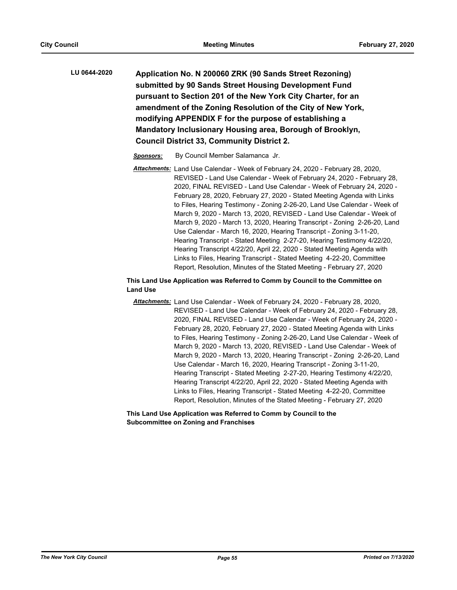**Application No. N 200060 ZRK (90 Sands Street Rezoning) submitted by 90 Sands Street Housing Development Fund pursuant to Section 201 of the New York City Charter, for an amendment of the Zoning Resolution of the City of New York, modifying APPENDIX F for the purpose of establishing a Mandatory Inclusionary Housing area, Borough of Brooklyn, Council District 33, Community District 2. LU 0644-2020**

- *Sponsors:* By Council Member Salamanca Jr.
- *Attachments:* Land Use Calendar Week of February 24, 2020 February 28, 2020, REVISED - Land Use Calendar - Week of February 24, 2020 - February 28, 2020, FINAL REVISED - Land Use Calendar - Week of February 24, 2020 - February 28, 2020, February 27, 2020 - Stated Meeting Agenda with Links to Files, Hearing Testimony - Zoning 2-26-20, Land Use Calendar - Week of March 9, 2020 - March 13, 2020, REVISED - Land Use Calendar - Week of March 9, 2020 - March 13, 2020, Hearing Transcript - Zoning 2-26-20, Land Use Calendar - March 16, 2020, Hearing Transcript - Zoning 3-11-20, Hearing Transcript - Stated Meeting 2-27-20, Hearing Testimony 4/22/20, Hearing Transcript 4/22/20, April 22, 2020 - Stated Meeting Agenda with Links to Files, Hearing Transcript - Stated Meeting 4-22-20, Committee Report, Resolution, Minutes of the Stated Meeting - February 27, 2020

## **This Land Use Application was Referred to Comm by Council to the Committee on Land Use**

*Attachments:* Land Use Calendar - Week of February 24, 2020 - February 28, 2020, REVISED - Land Use Calendar - Week of February 24, 2020 - February 28, 2020, FINAL REVISED - Land Use Calendar - Week of February 24, 2020 - February 28, 2020, February 27, 2020 - Stated Meeting Agenda with Links to Files, Hearing Testimony - Zoning 2-26-20, Land Use Calendar - Week of March 9, 2020 - March 13, 2020, REVISED - Land Use Calendar - Week of March 9, 2020 - March 13, 2020, Hearing Transcript - Zoning 2-26-20, Land Use Calendar - March 16, 2020, Hearing Transcript - Zoning 3-11-20, Hearing Transcript - Stated Meeting 2-27-20, Hearing Testimony 4/22/20, Hearing Transcript 4/22/20, April 22, 2020 - Stated Meeting Agenda with Links to Files, Hearing Transcript - Stated Meeting 4-22-20, Committee Report, Resolution, Minutes of the Stated Meeting - February 27, 2020